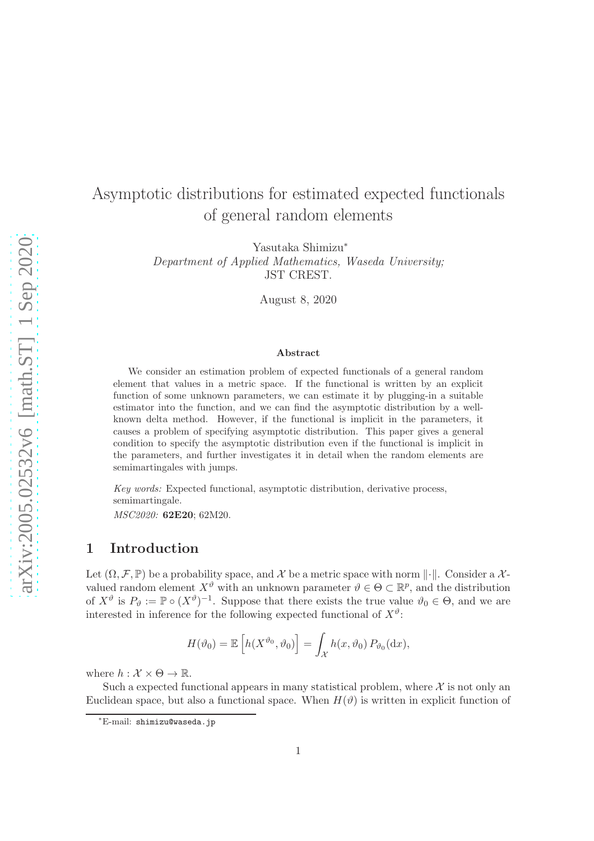# Asymptotic distributions for estimated expected functionals of general random elements

Yasutaka Shimizu<sup>∗</sup> Department of Applied Mathematics, Waseda University; JST CREST.

August 8, 2020

#### Abstract

We consider an estimation problem of expected functionals of a general random element that values in a metric space. If the functional is written by an explicit function of some unknown parameters, we can estimate it by plugging-in a suitable estimator into the function, and we can find the asymptotic distribution by a wellknown delta method. However, if the functional is implicit in the parameters, it causes a problem of specifying asymptotic distribution. This paper gives a general condition to specify the asymptotic distribution even if the functional is implicit in the parameters, and further investigates it in detail when the random elements are semimartingales with jumps.

Key words: Expected functional, asymptotic distribution, derivative process, semimartingale.

MSC2020: 62E20; 62M20.

## 1 Introduction

Let  $(\Omega, \mathcal{F}, \mathbb{P})$  be a probability space, and X be a metric space with norm  $\lVert \cdot \rVert$ . Consider a Xvalued random element  $X^{\vartheta}$  with an unknown parameter  $\vartheta \in \Theta \subset \mathbb{R}^p$ , and the distribution of  $X^{\vartheta}$  is  $P_{\vartheta} := \mathbb{P} \circ (X^{\vartheta})^{-1}$ . Suppose that there exists the true value  $\vartheta_0 \in \Theta$ , and we are interested in inference for the following expected functional of  $X^{\vartheta}$ :

$$
H(\vartheta_0) = \mathbb{E}\left[h(X^{\vartheta_0}, \vartheta_0)\right] = \int_{\mathcal{X}} h(x, \vartheta_0) P_{\vartheta_0}(\mathrm{d}x),
$$

where  $h : \mathcal{X} \times \Theta \to \mathbb{R}$ .

Such a expected functional appears in many statistical problem, where  $\mathcal X$  is not only an Euclidean space, but also a functional space. When  $H(\vartheta)$  is written in explicit function of

<sup>∗</sup>E-mail: shimizu@waseda.jp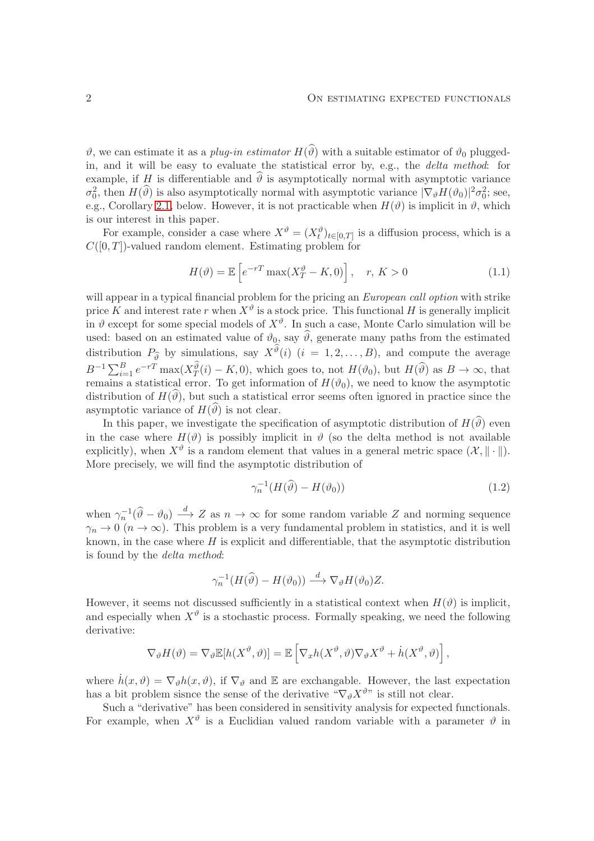$\vartheta$ , we can estimate it as a *plug-in estimator*  $H(\widehat{\vartheta})$  with a suitable estimator of  $\vartheta_0$  pluggedin, and it will be easy to evaluate the statistical error by, e.g., the delta method: for example, if H is differentiable and  $\hat{\theta}$  is asymptotically normal with asymptotic variance  $\sigma_0^2$ , then  $H(\hat{v})$  is also asymptotically normal with asymptotic variance  $|\nabla_{\theta}H(\hat{v}_0)|^2 \sigma_0^2$ ; see, e.g., Corollary [2.1,](#page-5-0) below. However, it is not practicable when  $H(\vartheta)$  is implicit in  $\vartheta$ , which is our interest in this paper.

For example, consider a case where  $X^{\vartheta} = (X^{\vartheta}_t)_{t \in [0,T]}$  is a diffusion process, which is a  $C([0,T])$ -valued random element. Estimating problem for

<span id="page-1-0"></span>
$$
H(\vartheta) = \mathbb{E}\left[e^{-rT}\max(X_T^{\vartheta} - K, 0)\right], \quad r, K > 0
$$
\n(1.1)

will appear in a typical financial problem for the pricing an *European call option* with strike price K and interest rate r when  $X^{\vartheta}$  is a stock price. This functional H is generally implicit in  $\vartheta$  except for some special models of  $X^{\vartheta}$ . In such a case, Monte Carlo simulation will be used: based on an estimated value of  $\vartheta_0$ , say  $\widehat{\vartheta}$ , generate many paths from the estimated distribution  $P_{\hat{\theta}}$  by simulations, say  $X^{\vartheta}(i)$   $(i = 1, 2, ..., B)$ , and compute the average  $B^{-1}\sum_{i=1}^{B}e^{-rT}\max(X_{T}^{\hat{\theta}}(i)-K,0),$  which goes to, not  $H(\vartheta_0)$ , but  $H(\widehat{\vartheta})$  as  $B\to\infty$ , that remains a statistical error. To get information of  $H(\vartheta_0)$ , we need to know the asymptotic distribution of  $H(\vartheta)$ , but such a statistical error seems often ignored in practice since the asymptotic variance of  $H(\widehat{\theta})$  is not clear.

In this paper, we investigate the specification of asymptotic distribution of  $H(\widehat{\theta})$  even in the case where  $H(\vartheta)$  is possibly implicit in  $\vartheta$  (so the delta method is not available explicitly), when  $X^{\vartheta}$  is a random element that values in a general metric space  $(\mathcal{X}, \|\cdot\|)$ . More precisely, we will find the asymptotic distribution of

<span id="page-1-1"></span>
$$
\gamma_n^{-1}(H(\widehat{\vartheta}) - H(\vartheta_0))\tag{1.2}
$$

when  $\gamma_n^{-1}(\widehat{\theta}-\theta_0) \stackrel{d}{\longrightarrow} Z$  as  $n \to \infty$  for some random variable Z and norming sequence  $\gamma_n \to 0 \ (n \to \infty)$ . This problem is a very fundamental problem in statistics, and it is well known, in the case where  $H$  is explicit and differentiable, that the asymptotic distribution is found by the delta method:

$$
\gamma_n^{-1}(H(\widehat{\vartheta}) - H(\vartheta_0)) \stackrel{d}{\longrightarrow} \nabla_{\vartheta} H(\vartheta_0) Z.
$$

However, it seems not discussed sufficiently in a statistical context when  $H(\vartheta)$  is implicit, and especially when  $X^{\vartheta}$  is a stochastic process. Formally speaking, we need the following derivative:

$$
\nabla_{\theta} H(\theta) = \nabla_{\theta} \mathbb{E}[h(X^{\theta}, \theta)] = \mathbb{E}\left[\nabla_x h(X^{\theta}, \theta) \nabla_{\theta} X^{\theta} + \dot{h}(X^{\theta}, \theta)\right],
$$

where  $\dot{h}(x, \vartheta) = \nabla_{\vartheta} h(x, \vartheta)$ , if  $\nabla_{\vartheta}$  and E are exchangable. However, the last expectation has a bit problem sisnce the sense of the derivative " $\nabla_{\theta} X^{\theta}$ " is still not clear.

Such a "derivative" has been considered in sensitivity analysis for expected functionals. For example, when  $X^{\vartheta}$  is a Euclidian valued random variable with a parameter  $\vartheta$  in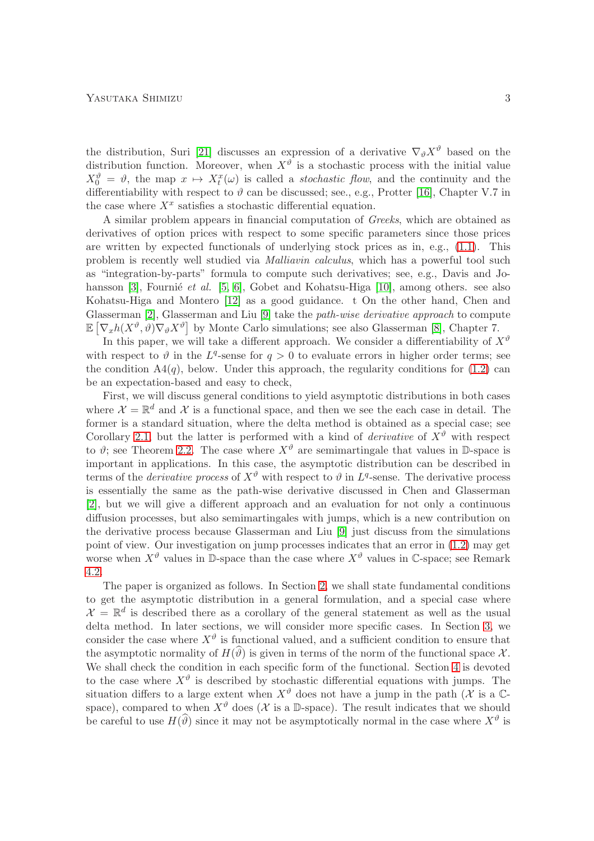the distribution, Suri [\[21\]](#page-28-0) discusses an expression of a derivative  $\nabla_{\theta} X^{\theta}$  based on the distribution function. Moreover, when  $X^{\vartheta}$  is a stochastic process with the initial value  $X_0^{\vartheta} = \vartheta$ , the map  $x \mapsto X_t^x(\omega)$  is called a *stochastic flow*, and the continuity and the differentiability with respect to  $\vartheta$  can be discussed; see., e.g., Protter [\[16\]](#page-28-1), Chapter V.7 in the case where  $X^x$  satisfies a stochastic differential equation.

A similar problem appears in financial computation of Greeks, which are obtained as derivatives of option prices with respect to some specific parameters since those prices are written by expected functionals of underlying stock prices as in, e.g.,  $(1.1)$ . This problem is recently well studied via Malliavin calculus, which has a powerful tool such as "integration-by-parts" formula to compute such derivatives; see, e.g., Davis and Jo-hansson [\[3\]](#page-27-0), Fournie et al.  $[5, 6]$  $[5, 6]$ , Gobet and Kohatsu-Higa [\[10\]](#page-27-3), among others. see also Kohatsu-Higa and Montero [\[12\]](#page-28-2) as a good guidance. t On the other hand, Chen and Glasserman [\[2\]](#page-27-4), Glasserman and Liu [\[9\]](#page-27-5) take the path-wise derivative approach to compute  $\mathbb{E}\left[\nabla_x h(X^{\vartheta}, \vartheta) \nabla_{\vartheta} X^{\vartheta}\right]$  by Monte Carlo simulations; see also Glasserman [\[8\]](#page-27-6), Chapter 7.

In this paper, we will take a different approach. We consider a differentiability of  $X^{\vartheta}$ with respect to  $\vartheta$  in the L<sup>q</sup>-sense for  $q > 0$  to evaluate errors in higher order terms; see the condition  $A(*q*)$ , below. Under this approach, the regularity conditions for  $(1.2)$  can be an expectation-based and easy to check,

First, we will discuss general conditions to yield asymptotic distributions in both cases where  $\mathcal{X} = \mathbb{R}^d$  and  $\mathcal{X}$  is a functional space, and then we see the each case in detail. The former is a standard situation, where the delta method is obtained as a special case; see Corollary [2.1,](#page-5-0) but the latter is performed with a kind of *derivative* of  $X^{\vartheta}$  with respect to  $\vartheta$ ; see Theorem [2.2.](#page-6-0) The case where  $X^{\vartheta}$  are semimartingale that values in D-space is important in applications. In this case, the asymptotic distribution can be described in terms of the *derivative process* of  $X^{\vartheta}$  with respect to  $\vartheta$  in  $L^{q}$ -sense. The derivative process is essentially the same as the path-wise derivative discussed in Chen and Glasserman [\[2\]](#page-27-4), but we will give a different approach and an evaluation for not only a continuous diffusion processes, but also semimartingales with jumps, which is a new contribution on the derivative process because Glasserman and Liu [\[9\]](#page-27-5) just discuss from the simulations point of view. Our investigation on jump processes indicates that an error in [\(1.2\)](#page-1-1) may get worse when  $X^{\vartheta}$  values in D-space than the case where  $X^{\vartheta}$  values in C-space; see Remark [4.2.](#page-18-0)

The paper is organized as follows. In Section [2,](#page-3-0) we shall state fundamental conditions to get the asymptotic distribution in a general formulation, and a special case where  $\mathcal{X} = \mathbb{R}^d$  is described there as a corollary of the general statement as well as the usual delta method. In later sections, we will consider more specific cases. In Section [3,](#page-7-0) we consider the case where  $X^{\vartheta}$  is functional valued, and a sufficient condition to ensure that the asymptotic normality of  $H(\vartheta)$  is given in terms of the norm of the functional space X. We shall check the condition in each specific form of the functional. Section [4](#page-13-0) is devoted to the case where  $X^{\vartheta}$  is described by stochastic differential equations with jumps. The situation differs to a large extent when  $X^{\vartheta}$  does not have a jump in the path (X is a Cspace), compared to when  $X^{\vartheta}$  does (X is a D-space). The result indicates that we should be careful to use  $H(\hat{\theta})$  since it may not be asymptotically normal in the case where  $X^{\theta}$  is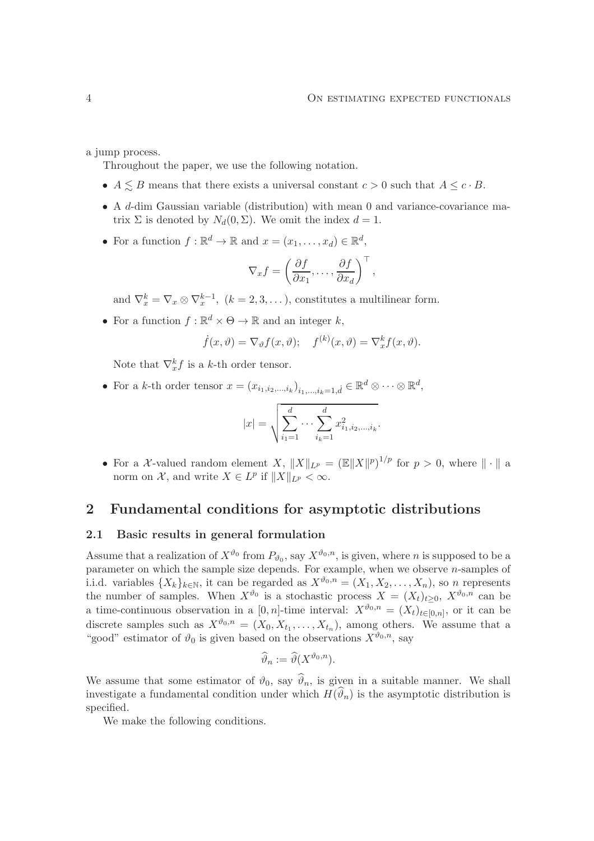a jump process.

Throughout the paper, we use the following notation.

- $A \leq B$  means that there exists a universal constant  $c > 0$  such that  $A \leq c \cdot B$ .
- A d-dim Gaussian variable (distribution) with mean 0 and variance-covariance matrix  $\Sigma$  is denoted by  $N_d(0, \Sigma)$ . We omit the index  $d = 1$ .
- For a function  $f : \mathbb{R}^d \to \mathbb{R}$  and  $x = (x_1, \dots, x_d) \in \mathbb{R}^d$ ,

$$
\nabla_x f = \left(\frac{\partial f}{\partial x_1}, \dots, \frac{\partial f}{\partial x_d}\right)^\top,
$$

and  $\nabla_x^k = \nabla_x \otimes \nabla_x^{k-1}$ ,  $(k = 2, 3, ...)$ , constitutes a multilinear form.

• For a function  $f : \mathbb{R}^d \times \Theta \to \mathbb{R}$  and an integer  $k$ ,

$$
\dot{f}(x,\vartheta) = \nabla_{\vartheta} f(x,\vartheta); \quad f^{(k)}(x,\vartheta) = \nabla_x^k f(x,\vartheta).
$$

Note that  $\nabla_x^k f$  is a k-th order tensor.

• For a k-th order tensor  $x = (x_{i_1,i_2,\dots,i_k})_{i_1,\dots,i_k=1,d} \in \mathbb{R}^d \otimes \cdots \otimes \mathbb{R}^d$ ,

$$
|x| = \sqrt{\sum_{i_1=1}^d \cdots \sum_{i_k=1}^d x_{i_1, i_2, \dots, i_k}^2}.
$$

• For a X-valued random element X,  $||X||_{L^p} = (||X||^p)^{1/p}$  for  $p > 0$ , where  $|| \cdot ||$  a norm on  $\mathcal{X}$ , and write  $X \in L^p$  if  $||X||_{L^p} < \infty$ .

# <span id="page-3-0"></span>2 Fundamental conditions for asymptotic distributions

### 2.1 Basic results in general formulation

Assume that a realization of  $X^{\vartheta_0}$  from  $P_{\vartheta_0}$ , say  $X^{\vartheta_0,n}$ , is given, where *n* is supposed to be a parameter on which the sample size depends. For example, when we observe n-samples of i.i.d. variables  $\{X_k\}_{k\in\mathbb{N}}$ , it can be regarded as  $X^{\vartheta_0,n} = (X_1, X_2, \ldots, X_n)$ , so n represents the number of samples. When  $X^{\vartheta_0}$  is a stochastic process  $X = (X_t)_{t \geq 0}$ ,  $X^{\vartheta_0, n}$  can be a time-continuous observation in a [0, n]-time interval:  $X^{\vartheta_0,n} = (X_t)_{t \in [0,n]},$  or it can be discrete samples such as  $X^{\vartheta_0,n} = (X_0, X_{t_1}, \ldots, X_{t_n}),$  among others. We assume that a "good" estimator of  $\vartheta_0$  is given based on the observations  $X^{\vartheta_0,n}$ , say

$$
\widehat{\vartheta}_n := \widehat{\vartheta}(X^{\vartheta_0, n}).
$$

We assume that some estimator of  $\vartheta_0$ , say  $\vartheta_n$ , is given in a suitable manner. We shall investigate a fundamental condition under which  $H(\vartheta_n)$  is the asymptotic distribution is specified.

We make the following conditions.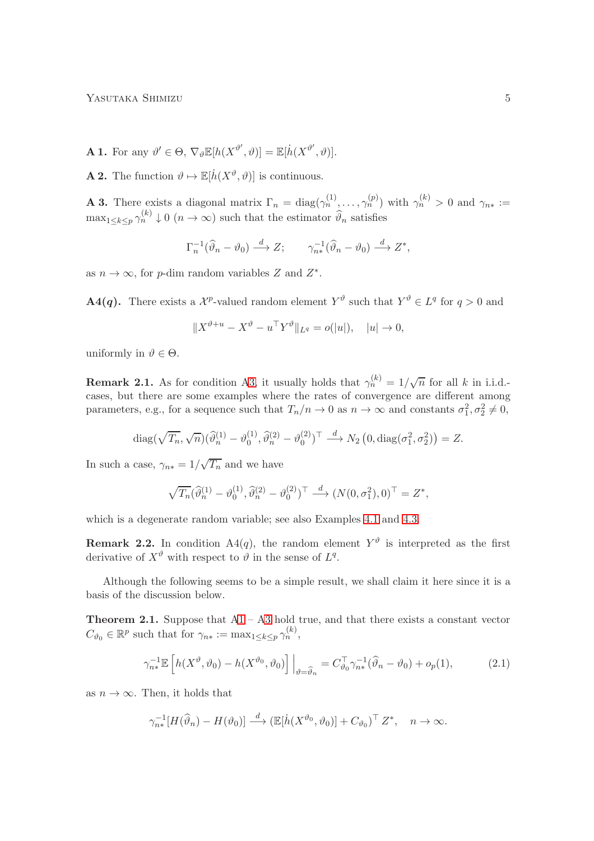YASUTAKA SHIMIZU 5

- <span id="page-4-1"></span>**A 1.** For any  $\vartheta' \in \Theta$ ,  $\nabla_{\vartheta} \mathbb{E}[h(X^{\vartheta'} , \vartheta)] = \mathbb{E}[h(X^{\vartheta'} , \vartheta)].$
- <span id="page-4-2"></span>**A 2.** The function  $\vartheta \mapsto \mathbb{E}[h(X^{\vartheta}, \vartheta)]$  is continuous.

<span id="page-4-0"></span>**A 3.** There exists a diagonal matrix  $\Gamma_n = \text{diag}(\gamma_n^{(1)}, \dots, \gamma_n^{(p)})$  with  $\gamma_n^{(k)} > 0$  and  $\gamma_{n*} :=$  $\max_{1 \leq k \leq p} \gamma_n^{(k)} \downarrow 0 \ (n \to \infty)$  such that the estimator  $\widehat{\vartheta}_n$  satisfies

$$
\Gamma_n^{-1}(\widehat{\vartheta}_n - \vartheta_0) \stackrel{d}{\longrightarrow} Z; \qquad \gamma_{n*}^{-1}(\widehat{\vartheta}_n - \vartheta_0) \stackrel{d}{\longrightarrow} Z^*,
$$

as  $n \to \infty$ , for p-dim random variables Z and  $Z^*$ .

**A4(q).** There exists a  $\mathcal{X}^p$ -valued random element  $Y^{\vartheta}$  such that  $Y^{\vartheta} \in L^q$  for  $q > 0$  and

$$
||X^{\vartheta+u} - X^{\vartheta} - u^{\top} Y^{\vartheta}||_{L^{q}} = o(|u|), \quad |u| \to 0,
$$

uniformly in  $\vartheta \in \Theta$ .

**Remark 2.1.** As for condition [A3,](#page-4-0) it usually holds that  $\gamma_n^{(k)} = 1/\sqrt{n}$  for all k in i.i.d.cases, but there are some examples where the rates of convergence are different among parameters, e.g., for a sequence such that  $T_n/n \to 0$  as  $n \to \infty$  and constants  $\sigma_1^2, \sigma_2^2 \neq 0$ ,

$$
\operatorname{diag}(\sqrt{T_n}, \sqrt{n})(\widehat{\vartheta}_n^{(1)} - \vartheta_0^{(1)}, \widehat{\vartheta}_n^{(2)} - \vartheta_0^{(2)})^\top \stackrel{d}{\longrightarrow} N_2\left(0, \operatorname{diag}(\sigma_1^2, \sigma_2^2)\right) = Z.
$$

In such a case,  $\gamma_{n*} = 1/\sqrt{T_n}$  and we have

$$
\sqrt{T_n}(\widehat{\vartheta}_n^{(1)} - \vartheta_0^{(1)}, \widehat{\vartheta}_n^{(2)} - \vartheta_0^{(2)})^\top \stackrel{d}{\longrightarrow} (N(0, \sigma_1^2), 0)^\top = Z^*,
$$

which is a degenerate random variable; see also Examples [4.1](#page-18-1) and [4.3.](#page-20-0)

**Remark 2.2.** In condition  $A4(q)$ , the random element  $Y^{\vartheta}$  is interpreted as the first derivative of  $X^{\vartheta}$  with respect to  $\vartheta$  in the sense of  $L^{q}$ .

Although the following seems to be a simple result, we shall claim it here since it is a basis of the discussion below.

<span id="page-4-3"></span>**Theorem 2.1.** Suppose that  $A1 - A3$  $A1 - A3$  $A1 - A3$  hold true, and that there exists a constant vector  $C_{\vartheta_0} \in \mathbb{R}^p$  such that for  $\gamma_{n*} := \max_{1 \leq k \leq p} \gamma_n^{(k)}$ ,

$$
\gamma_{n*}^{-1} \mathbb{E}\left[h(X^{\vartheta}, \vartheta_0) - h(X^{\vartheta_0}, \vartheta_0)\right] \Big|_{\vartheta = \widehat{\vartheta}_n} = C_{\vartheta_0}^\top \gamma_{n*}^{-1} (\widehat{\vartheta}_n - \vartheta_0) + o_p(1),\tag{2.1}
$$

as  $n \to \infty$ . Then, it holds that

<span id="page-4-4"></span>
$$
\gamma_{n*}^{-1}[H(\widehat{\vartheta}_n) - H(\vartheta_0)] \stackrel{d}{\longrightarrow} (\mathbb{E}[\dot{h}(X^{\vartheta_0}, \vartheta_0)] + C_{\vartheta_0})^{\top} Z^*, \quad n \to \infty.
$$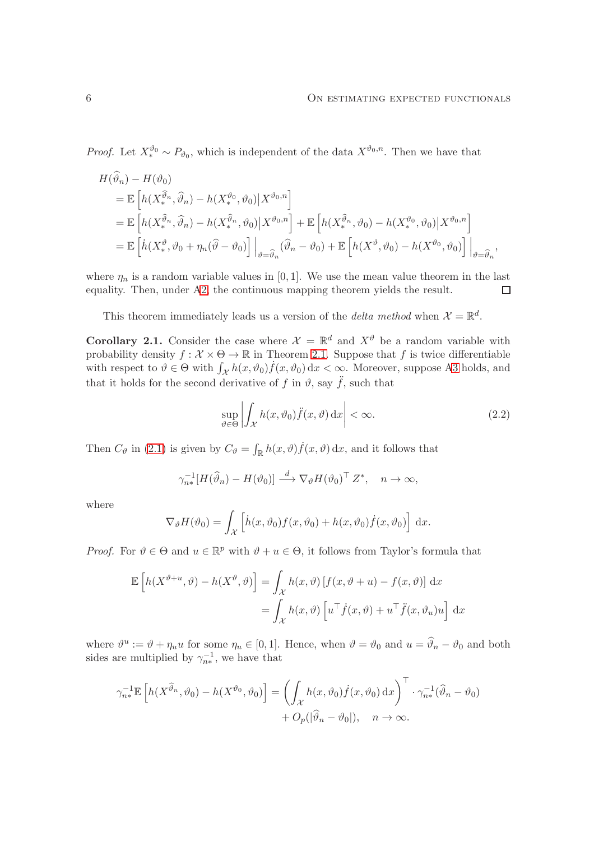*Proof.* Let  $X_*^{\vartheta_0} \sim P_{\vartheta_0}$ , which is independent of the data  $X^{\vartheta_0,n}$ . Then we have that

$$
H(\vartheta_n) - H(\vartheta_0)
$$
  
\n
$$
= \mathbb{E}\left[h(X_*^{\widehat{\vartheta}_n}, \widehat{\vartheta}_n) - h(X_*^{\vartheta_0}, \vartheta_0)|X^{\vartheta_0, n}\right]
$$
  
\n
$$
= \mathbb{E}\left[h(X_*^{\widehat{\vartheta}_n}, \widehat{\vartheta}_n) - h(X_*^{\widehat{\vartheta}_n}, \vartheta_0)|X^{\vartheta_0, n}\right] + \mathbb{E}\left[h(X_*^{\widehat{\vartheta}_n}, \vartheta_0) - h(X_*^{\vartheta_0}, \vartheta_0)|X^{\vartheta_0, n}\right]
$$
  
\n
$$
= \mathbb{E}\left[h(X_*^{\vartheta}, \vartheta_0 + \eta_n(\widehat{\vartheta} - \vartheta_0))\Big|_{\vartheta = \widehat{\vartheta}_n} (\widehat{\vartheta}_n - \vartheta_0) + \mathbb{E}\left[h(X_*^{\vartheta}, \vartheta_0) - h(X_*^{\vartheta_0}, \vartheta_0)\right]\Big|_{\vartheta = \widehat{\vartheta}_n},
$$

where  $\eta_n$  is a random variable values in [0, 1]. We use the mean value theorem in the last equality. Then, under [A2,](#page-4-2) the continuous mapping theorem yields the result.  $\Box$ 

This theorem immediately leads us a version of the *delta method* when  $\mathcal{X} = \mathbb{R}^d$ .

<span id="page-5-0"></span>**Corollary 2.1.** Consider the case where  $\mathcal{X} = \mathbb{R}^d$  and  $X^{\vartheta}$  be a random variable with probability density  $f: \mathcal{X} \times \Theta \to \mathbb{R}$  in Theorem [2.1.](#page-4-3) Suppose that f is twice differentiable with respect to  $\vartheta \in \Theta$  with  $\int_{\mathcal{X}} h(x, \vartheta_0) \dot{f}(x, \vartheta_0) dx < \infty$ . Moreover, suppose [A3](#page-4-0) holds, and that it holds for the second derivative of f in  $\vartheta$ , say  $\ddot{f}$ , such that

$$
\sup_{\vartheta \in \Theta} \left| \int_{\mathcal{X}} h(x, \vartheta_0) \ddot{f}(x, \vartheta) \, dx \right| < \infty. \tag{2.2}
$$

Then  $C_{\vartheta}$  in [\(2.1\)](#page-4-4) is given by  $C_{\vartheta} = \int_{\mathbb{R}} h(x, \vartheta) \dot{f}(x, \vartheta) dx$ , and it follows that

$$
\gamma_{n*}^{-1}[H(\widehat{\vartheta}_n) - H(\vartheta_0)] \stackrel{d}{\longrightarrow} \nabla_{\vartheta} H(\vartheta_0)^\top Z^*, \quad n \to \infty,
$$

where

$$
\nabla_{\vartheta} H(\vartheta_0) = \int_{\mathcal{X}} \left[ \dot{h}(x, \vartheta_0) f(x, \vartheta_0) + h(x, \vartheta_0) \dot{f}(x, \vartheta_0) \right] dx.
$$

*Proof.* For  $\vartheta \in \Theta$  and  $u \in \mathbb{R}^p$  with  $\vartheta + u \in \Theta$ , it follows from Taylor's formula that

$$
\mathbb{E}\left[h(X^{\vartheta+u},\vartheta)-h(X^{\vartheta},\vartheta)\right] = \int_{\mathcal{X}} h(x,\vartheta)\left[f(x,\vartheta+u)-f(x,\vartheta)\right] dx
$$

$$
= \int_{\mathcal{X}} h(x,\vartheta)\left[u^{\top}\dot{f}(x,\vartheta)+u^{\top}\ddot{f}(x,\vartheta_u)u\right] dx
$$

where  $\vartheta^u := \vartheta + \eta_u u$  for some  $\eta_u \in [0,1]$ . Hence, when  $\vartheta = \vartheta_0$  and  $u = \widehat{\vartheta}_n - \vartheta_0$  and both sides are multiplied by  $\gamma_{n*}^{-1}$ , we have that

$$
\gamma_{n*}^{-1} \mathbb{E} \left[ h(X^{\widehat{\vartheta}_n}, \vartheta_0) - h(X^{\vartheta_0}, \vartheta_0) \right] = \left( \int_{\mathcal{X}} h(x, \vartheta_0) \dot{f}(x, \vartheta_0) dx \right)^{\top} \cdot \gamma_{n*}^{-1} (\widehat{\vartheta}_n - \vartheta_0) + O_p(|\widehat{\vartheta}_n - \vartheta_0|), \quad n \to \infty.
$$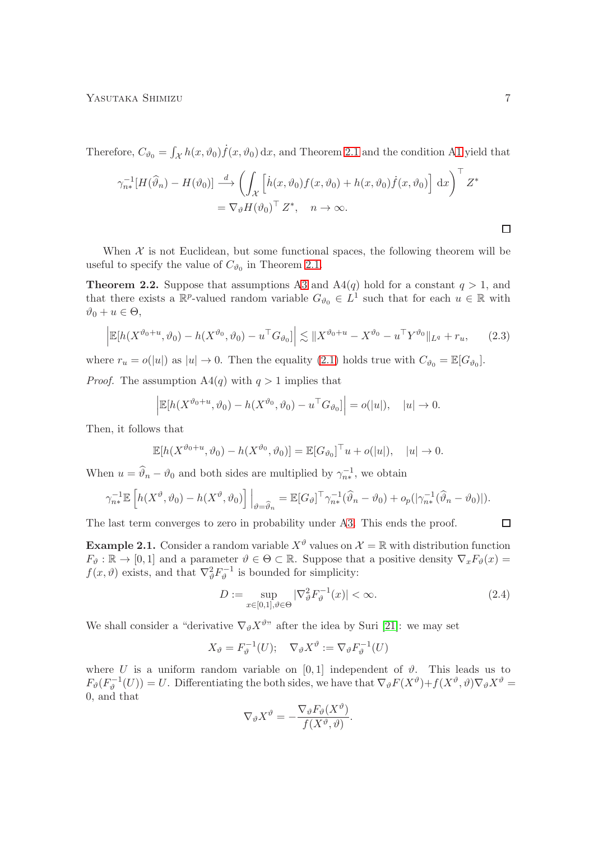Therefore,  $C_{\vartheta_0} = \int$  $\int_{\mathcal{X}} h(x, \vartheta_0) \dot{f}(x, \vartheta_0) dx$ , and Theorem [2.1](#page-4-3) and the condition [A1](#page-4-1) yield that

$$
\gamma_{n*}^{-1}[H(\widehat{\vartheta}_{n}) - H(\vartheta_{0})] \stackrel{d}{\longrightarrow} \left(\int_{\mathcal{X}} \left[\dot{h}(x,\vartheta_{0})f(x,\vartheta_{0}) + h(x,\vartheta_{0})\dot{f}(x,\vartheta_{0})\right] dx\right)^{\top} Z^{*}
$$

$$
= \nabla_{\vartheta} H(\vartheta_{0})^{\top} Z^{*}, \quad n \to \infty.
$$

When  $X$  is not Euclidean, but some functional spaces, the following theorem will be useful to specify the value of  $C_{\vartheta_0}$  in Theorem [2.1.](#page-4-3)

<span id="page-6-0"></span>**Theorem 2.2.** Suppose that assumptions [A3](#page-4-0) and  $A4(q)$  hold for a constant  $q > 1$ , and that there exists a  $\mathbb{R}^p$ -valued random variable  $G_{\vartheta_0} \in L^1$  such that for each  $u \in \mathbb{R}$  with  $\vartheta_0 + u \in \Theta$ ,

$$
\left| \mathbb{E}[h(X^{\vartheta_0+u}, \vartheta_0) - h(X^{\vartheta_0}, \vartheta_0) - u^\top G_{\vartheta_0}] \right| \lesssim \| X^{\vartheta_0+u} - X^{\vartheta_0} - u^\top Y^{\vartheta_0} \|_{L^q} + r_u,
$$
 (2.3)

where  $r_u = o(|u|)$  as  $|u| \to 0$ . Then the equality [\(2.1\)](#page-4-4) holds true with  $C_{\vartheta_0} = \mathbb{E}[G_{\vartheta_0}].$ 

*Proof.* The assumption  $A(q)$  with  $q > 1$  implies that

$$
\left| \mathbb{E}[h(X^{\vartheta_0+u}, \vartheta_0) - h(X^{\vartheta_0}, \vartheta_0) - u^\top G_{\vartheta_0}] \right| = o(|u|), \quad |u| \to 0.
$$

Then, it follows that

$$
\mathbb{E}[h(X^{\vartheta_0+u},\vartheta_0)-h(X^{\vartheta_0},\vartheta_0)]=\mathbb{E}[G_{\vartheta_0}]^\top u+o(|u|), \quad |u|\to 0.
$$

When  $u = \hat{\theta}_n - \theta_0$  and both sides are multiplied by  $\gamma_{n*}^{-1}$ , we obtain

$$
\gamma_{n*}^{-1} \mathbb{E}\left[h(X^{\vartheta},\vartheta_0) - h(X^{\vartheta},\vartheta_0)\right] \Big|_{\vartheta = \widehat{\vartheta}_n} = \mathbb{E}[G_{\vartheta}]^\top \gamma_{n*}^{-1}(\widehat{\vartheta}_n - \vartheta_0) + o_p(|\gamma_{n*}^{-1}(\widehat{\vartheta}_n - \vartheta_0)|).
$$

The last term converges to zero in probability under [A3.](#page-4-0) This ends the proof.

**Example 2.1.** Consider a random variable  $X^{\vartheta}$  values on  $\mathcal{X} = \mathbb{R}$  with distribution function  $F_{\vartheta}: \mathbb{R} \to [0, 1]$  and a parameter  $\vartheta \in \Theta \subset \mathbb{R}$ . Suppose that a positive density  $\nabla_x F_{\vartheta}(x) =$  $f(x, \theta)$  exists, and that  $\nabla_{\theta}^2 F_{\theta}^{-1}$  is bounded for simplicity:

$$
D := \sup_{x \in [0,1], \vartheta \in \Theta} |\nabla^2_{\vartheta} F_{\vartheta}^{-1}(x)| < \infty. \tag{2.4}
$$

We shall consider a "derivative  $\nabla_{\vartheta} X^{\vartheta}$ " after the idea by Suri [\[21\]](#page-28-0): we may set

$$
X_{\vartheta} = F_{\vartheta}^{-1}(U); \quad \nabla_{\vartheta} X^{\vartheta} := \nabla_{\vartheta} F_{\vartheta}^{-1}(U)
$$

where U is a uniform random variable on  $[0,1]$  independent of  $\vartheta$ . This leads us to  $F_{\theta}(F_{\theta}^{-1}(U)) = U$ . Differentiating the both sides, we have that  $\nabla_{\theta} F(X^{\theta}) + f(X^{\theta}, \theta) \nabla_{\theta} X^{\theta} =$ 0, and that

$$
\nabla_{\vartheta} X^{\vartheta} = -\frac{\nabla_{\vartheta} F_{\vartheta}(X^{\vartheta})}{f(X^{\vartheta}, \vartheta)}.
$$

<span id="page-6-2"></span> $\Box$ 

<span id="page-6-1"></span> $\Box$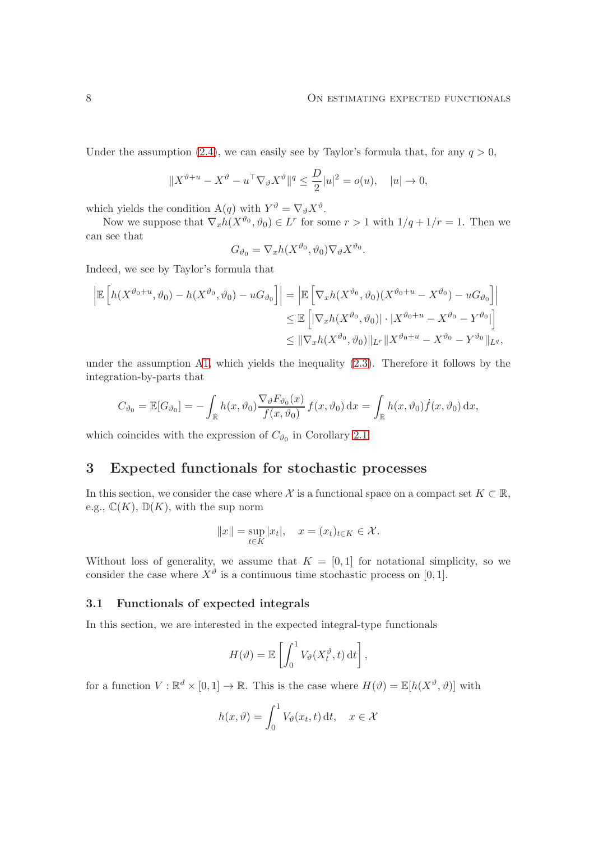Under the assumption [\(2.4\)](#page-6-1), we can easily see by Taylor's formula that, for any  $q > 0$ ,

$$
||X^{\vartheta+u} - X^{\vartheta} - u^\top \nabla_{\vartheta} X^{\vartheta}||^q \le \frac{D}{2}|u|^2 = o(u), \quad |u| \to 0,
$$

which yields the condition  $A(q)$  with  $Y^{\vartheta} = \nabla_{\vartheta} X^{\vartheta}$ .

Now we suppose that  $\nabla_x h(X^{\vartheta_0}, \vartheta_0) \in L^r$  for some  $r > 1$  with  $1/q + 1/r = 1$ . Then we can see that

$$
G_{\vartheta_0} = \nabla_x h(X^{\vartheta_0}, \vartheta_0) \nabla_{\vartheta} X^{\vartheta_0}.
$$

Indeed, we see by Taylor's formula that

$$
\left| \mathbb{E} \left[ h(X^{\vartheta_0 + u}, \vartheta_0) - h(X^{\vartheta_0}, \vartheta_0) - uG_{\vartheta_0} \right] \right| = \left| \mathbb{E} \left[ \nabla_x h(X^{\vartheta_0}, \vartheta_0) (X^{\vartheta_0 + u} - X^{\vartheta_0}) - uG_{\vartheta_0} \right] \right|
$$
  
\n
$$
\leq \mathbb{E} \left[ |\nabla_x h(X^{\vartheta_0}, \vartheta_0)| \cdot |X^{\vartheta_0 + u} - X^{\vartheta_0} - Y^{\vartheta_0}| \right]
$$
  
\n
$$
\leq ||\nabla_x h(X^{\vartheta_0}, \vartheta_0)||_{L^r} ||X^{\vartheta_0 + u} - X^{\vartheta_0} - Y^{\vartheta_0}||_{L^q},
$$

under the assumption [A1,](#page-4-1) which yields the inequality  $(2.3)$ . Therefore it follows by the integration-by-parts that

$$
C_{\vartheta_0} = \mathbb{E}[G_{\vartheta_0}] = -\int_{\mathbb{R}} h(x,\vartheta_0) \frac{\nabla_{\vartheta} F_{\vartheta_0}(x)}{f(x,\vartheta_0)} f(x,\vartheta_0) dx = \int_{\mathbb{R}} h(x,\vartheta_0) \dot{f}(x,\vartheta_0) dx,
$$

which coincides with the expression of  $C_{\vartheta_0}$  in Corollary [2.1.](#page-5-0)

# <span id="page-7-0"></span>3 Expected functionals for stochastic processes

In this section, we consider the case where X is a functional space on a compact set  $K \subset \mathbb{R}$ , e.g.,  $\mathbb{C}(K)$ ,  $\mathbb{D}(K)$ , with the sup norm

$$
||x|| = \sup_{t \in K} |x_t|, \quad x = (x_t)_{t \in K} \in \mathcal{X}.
$$

Without loss of generality, we assume that  $K = [0, 1]$  for notational simplicity, so we consider the case where  $X^{\vartheta}$  is a continuous time stochastic process on [0, 1].

### 3.1 Functionals of expected integrals

In this section, we are interested in the expected integral-type functionals

$$
H(\vartheta) = \mathbb{E}\left[\int_0^1 V_{\vartheta}(X_t^{\vartheta}, t) dt\right],
$$

for a function  $V : \mathbb{R}^d \times [0,1] \to \mathbb{R}$ . This is the case where  $H(\vartheta) = \mathbb{E}[h(X^{\vartheta}, \vartheta)]$  with

$$
h(x, \vartheta) = \int_0^1 V_{\vartheta}(x_t, t) dt, \quad x \in \mathcal{X}
$$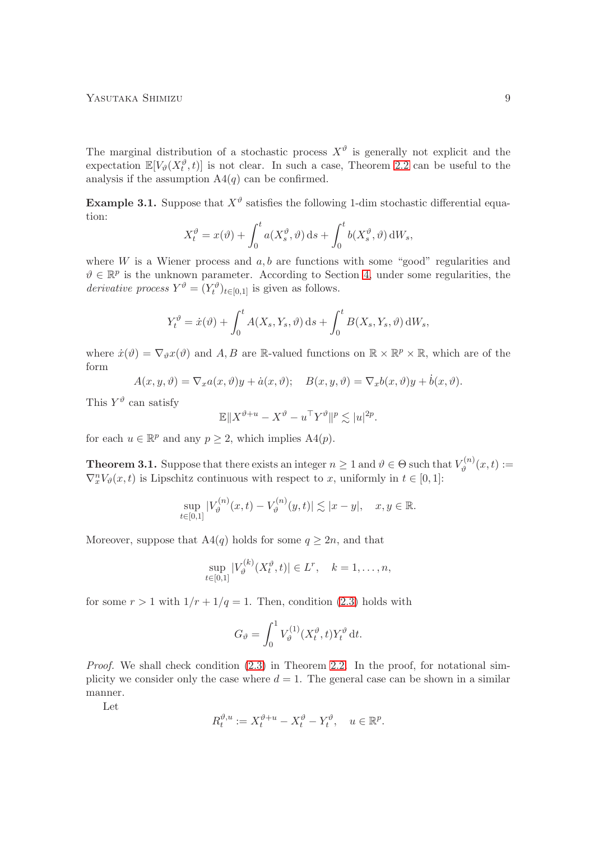The marginal distribution of a stochastic process  $X^{\vartheta}$  is generally not explicit and the expectation  $\mathbb{E}[V_{\theta}(X_t^{\theta},t)]$  is not clear. In such a case, Theorem [2.2](#page-6-0) can be useful to the analysis if the assumption  $A4(q)$  can be confirmed.

<span id="page-8-1"></span>**Example 3.1.** Suppose that  $X^{\vartheta}$  satisfies the following 1-dim stochastic differential equation:

$$
X_t^{\vartheta} = x(\vartheta) + \int_0^t a(X_s^{\vartheta}, \vartheta) \, ds + \int_0^t b(X_s^{\vartheta}, \vartheta) \, dW_s,
$$

where  $W$  is a Wiener process and  $a, b$  are functions with some "good" regularities and  $\vartheta \in \mathbb{R}^p$  is the unknown parameter. According to Section [4,](#page-13-0) under some regularities, the derivative process  $Y^{\vartheta} = (Y_t^{\vartheta})_{t \in [0,1]}$  is given as follows.

$$
Y_t^{\vartheta} = \dot{x}(\vartheta) + \int_0^t A(X_s, Y_s, \vartheta) \, ds + \int_0^t B(X_s, Y_s, \vartheta) \, dW_s,
$$

where  $\dot{x}(\vartheta) = \nabla_{\vartheta} x(\vartheta)$  and  $A, B$  are R-valued functions on  $\mathbb{R} \times \mathbb{R}^p \times \mathbb{R}$ , which are of the form

$$
A(x, y, \vartheta) = \nabla_x a(x, \vartheta)y + \dot{a}(x, \vartheta); \quad B(x, y, \vartheta) = \nabla_x b(x, \vartheta)y + \dot{b}(x, \vartheta).
$$

This  $Y^{\vartheta}$  can satisfy

$$
\mathbb{E}||X^{\vartheta+u} - X^{\vartheta} - u^{\top}Y^{\vartheta}||^{p} \lesssim |u|^{2p}.
$$

for each  $u \in \mathbb{R}^p$  and any  $p \ge 2$ , which implies  $A4(p)$ .

<span id="page-8-0"></span>**Theorem 3.1.** Suppose that there exists an integer  $n \geq 1$  and  $\vartheta \in \Theta$  such that  $V_{\vartheta}^{(n)}$  $\tilde{\theta}^{(n)}(x,t) :=$  $\nabla_x^n V_{\vartheta}(x,t)$  is Lipschitz continuous with respect to x, uniformly in  $t \in [0,1]$ :

$$
\sup_{t \in [0,1]} |V_{\vartheta}^{(n)}(x,t) - V_{\vartheta}^{(n)}(y,t)| \lesssim |x - y|, \quad x, y \in \mathbb{R}.
$$

Moreover, suppose that A4(q) holds for some  $q \ge 2n$ , and that

$$
\sup_{t \in [0,1]} |V_{\vartheta}^{(k)}(X_t^{\vartheta}, t)| \in L^r, \quad k = 1, \dots, n,
$$

for some  $r > 1$  with  $1/r + 1/q = 1$ . Then, condition [\(2.3\)](#page-6-2) holds with

$$
G_{\vartheta} = \int_0^1 V_{\vartheta}^{(1)}(X_t^{\vartheta}, t) Y_t^{\vartheta} dt.
$$

*Proof.* We shall check condition  $(2.3)$  in Theorem [2.2.](#page-6-0) In the proof, for notational simplicity we consider only the case where  $d = 1$ . The general case can be shown in a similar manner.

Let

$$
R_t^{\vartheta, u} := X_t^{\vartheta + u} - X_t^{\vartheta} - Y_t^{\vartheta}, \quad u \in \mathbb{R}^p.
$$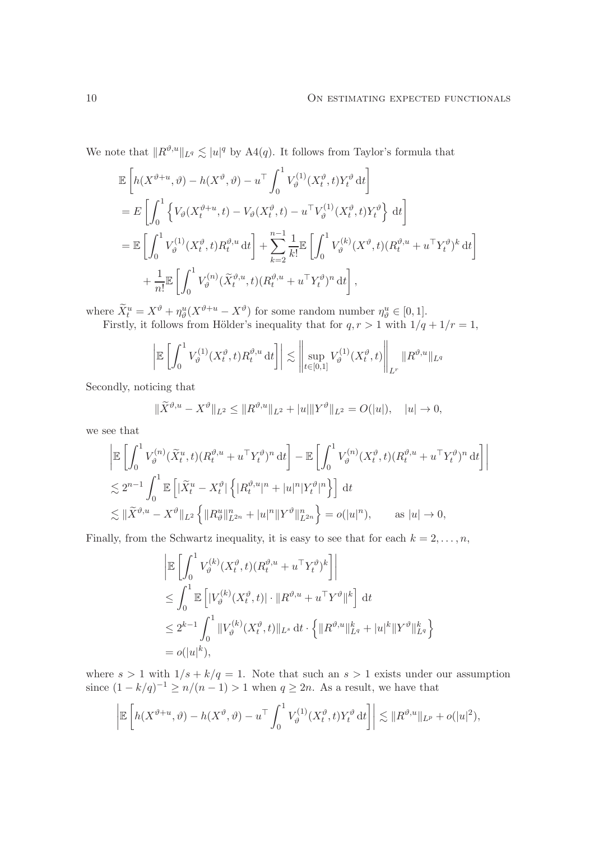We note that  $||R^{\vartheta,u}||_{L^q} \lesssim |u|^q$  by A4 $(q)$ . It follows from Taylor's formula that

$$
\mathbb{E}\left[h(X^{\vartheta+u},\vartheta) - h(X^{\vartheta},\vartheta) - u^{\top} \int_{0}^{1} V_{\vartheta}^{(1)}(X_{t}^{\vartheta},t)Y_{t}^{\vartheta} dt\right] \n= E\left[\int_{0}^{1} \left\{V_{\vartheta}(X_{t}^{\vartheta+u},t) - V_{\vartheta}(X_{t}^{\vartheta},t) - u^{\top}V_{\vartheta}^{(1)}(X_{t}^{\vartheta},t)Y_{t}^{\vartheta}\right\} dt\right] \n= \mathbb{E}\left[\int_{0}^{1} V_{\vartheta}^{(1)}(X_{t}^{\vartheta},t)R_{t}^{\vartheta,u} dt\right] + \sum_{k=2}^{n-1} \frac{1}{k!} \mathbb{E}\left[\int_{0}^{1} V_{\vartheta}^{(k)}(X^{\vartheta},t) (R_{t}^{\vartheta,u} + u^{\top}Y_{t}^{\vartheta})^{k} dt\right] \n+ \frac{1}{n!} \mathbb{E}\left[\int_{0}^{1} V_{\vartheta}^{(n)}(\widetilde{X}_{t}^{\vartheta,u},t) (R_{t}^{\vartheta,u} + u^{\top}Y_{t}^{\vartheta})^{n} dt\right],
$$

where  $\widetilde{X}_t^u = X^{\vartheta} + \eta_{\vartheta}^u (X^{\vartheta + u} - X^{\vartheta})$  for some random number  $\eta_{\vartheta}^u \in [0, 1]$ . Firstly, it follows from Hölder's inequality that for  $q, r > 1$  with  $1/q + 1/r = 1$ ,

$$
\left| \mathbb{E}\left[\int_0^1 V_\vartheta^{(1)}(X_t^\vartheta,t) R_t^{\vartheta,u} \,\mathrm{d} t\right] \right| \lesssim \left\| \sup_{t\in[0,1]} V_\vartheta^{(1)}(X_t^\vartheta,t) \right\|_{L^r} \|R^{\vartheta,u}\|_{L^q}
$$

Secondly, noticing that

$$
\|\widetilde{X}^{\vartheta,u} - X^{\vartheta}\|_{L^2} \le \|R^{\vartheta,u}\|_{L^2} + |u|\|Y^{\vartheta}\|_{L^2} = O(|u|), \quad |u| \to 0,
$$

we see that

$$
\begin{split}\n&\left|\mathbb{E}\left[\int_{0}^{1}V_{\vartheta}^{(n)}(\tilde{X}_{t}^{u},t)(R_{t}^{\vartheta,u}+u^{\top}Y_{t}^{\vartheta})^{n}\,\mathrm{d}t\right]-\mathbb{E}\left[\int_{0}^{1}V_{\vartheta}^{(n)}(X_{t}^{\vartheta},t)(R_{t}^{\vartheta,u}+u^{\top}Y_{t}^{\vartheta})^{n}\,\mathrm{d}t\right]\right| \\
&\lesssim 2^{n-1}\int_{0}^{1}\mathbb{E}\left[|\tilde{X}_{t}^{u}-X_{t}^{\vartheta}|\left\{|R_{t}^{\vartheta,u}|^{n}+|u|^{n}|Y_{t}^{\vartheta}|^{n}\right\}\right]\,\mathrm{d}t \\
&\lesssim \|\tilde{X}^{\vartheta,u}-X^{\vartheta}\|_{L^{2}}\left\{\|R_{\vartheta}^{u}\|_{L^{2n}}^{n}+|u|^{n}\|Y^{\vartheta}\|_{L^{2n}}^{n}\right\}=o(|u|^{n}),\qquad\text{as }|u|\to 0,\n\end{split}
$$

Finally, from the Schwartz inequality, it is easy to see that for each  $k = 2, \ldots, n$ ,

$$
\begin{aligned}\n&\left|\mathbb{E}\left[\int_0^1 V_\vartheta^{(k)}(X_t^\vartheta, t)(R_t^{\vartheta, u} + u^\top Y_t^\vartheta)^k\right]\right| \\
&\leq \int_0^1 \mathbb{E}\left[|V_\vartheta^{(k)}(X_t^\vartheta, t)| \cdot \|R^{\vartheta, u} + u^\top Y^\vartheta\|^k\right] dt \\
&\leq 2^{k-1} \int_0^1 \|V_\vartheta^{(k)}(X_t^\vartheta, t)\|_{L^s} dt \cdot \left\{\|R^{\vartheta, u}\|_{L^q}^k + |u|^k \|Y^\vartheta\|_{L^q}^k\right\} \\
&= o(|u|^k),\n\end{aligned}
$$

where  $s > 1$  with  $1/s + k/q = 1$ . Note that such an  $s > 1$  exists under our assumption since  $(1 - k/q)^{-1} \ge n/(n-1) > 1$  when  $q \ge 2n$ . As a result, we have that

$$
\left| \mathbb{E}\left[h(X^{\vartheta+u},\vartheta) - h(X^{\vartheta},\vartheta) - u^{\top} \int_0^1 V_{\vartheta}^{(1)}(X_t^{\vartheta},t)Y_t^{\vartheta} dt \right] \right| \lesssim \|R^{\vartheta,u}\|_{L^p} + o(|u|^2),
$$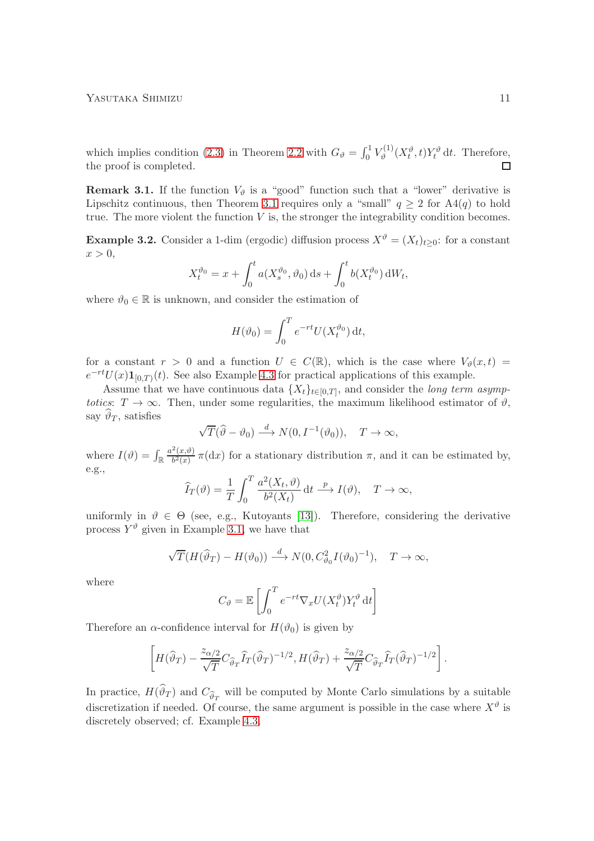which implies condition [\(2.3\)](#page-6-2) in Theorem [2.2](#page-6-0) with  $G_{\theta} = \int_0^1 V_{\theta}^{(1)}$  $g_{\vartheta}^{(1)}(X_t^{\vartheta},t)Y_t^{\vartheta} dt$ . Therefore, the proof is completed.  $\Box$ 

**Remark 3.1.** If the function  $V_{\vartheta}$  is a "good" function such that a "lower" derivative is Lipschitz continuous, then Theorem [3.1](#page-8-0) requires only a "small"  $q > 2$  for  $A4(q)$  to hold true. The more violent the function  $V$  is, the stronger the integrability condition becomes.

**Example 3.2.** Consider a 1-dim (ergodic) diffusion process  $X^{\theta} = (X_t)_{t>0}$ : for a constant  $x > 0$ ,

$$
X_t^{\vartheta_0} = x + \int_0^t a(X_s^{\vartheta_0}, \vartheta_0) \, ds + \int_0^t b(X_t^{\vartheta_0}) \, dW_t,
$$

where  $\vartheta_0 \in \mathbb{R}$  is unknown, and consider the estimation of

$$
H(\vartheta_0) = \int_0^T e^{-rt} U(X_t^{\vartheta_0}) dt,
$$

for a constant  $r > 0$  and a function  $U \in C(\mathbb{R})$ , which is the case where  $V_{\vartheta}(x,t) =$  $e^{-rt}U(x)1_{[0,T)}(t)$ . See also Example [4.3](#page-20-0) for practical applications of this example.

Assume that we have continuous data  $\{X_t\}_{t\in[0,T]}$ , and consider the *long term asymp*totics:  $T \to \infty$ . Then, under some regularities, the maximum likelihood estimator of  $\vartheta$ , say  $\vartheta_T$ , satisfies

$$
\sqrt{T}(\widehat{\vartheta} - \vartheta_0) \stackrel{d}{\longrightarrow} N(0, I^{-1}(\vartheta_0)), \quad T \to \infty,
$$

where  $I(\vartheta) = \int_{\mathbb{R}} \frac{a^2(x,\vartheta)}{b^2(x)}$  $\frac{\Gamma(x,y)}{b^2(x)}$  π(dx) for a stationary distribution π, and it can be estimated by, e.g.,

$$
\widehat{I}_T(\vartheta) = \frac{1}{T} \int_0^T \frac{a^2(X_t, \vartheta)}{b^2(X_t)} dt \xrightarrow{p} I(\vartheta), \quad T \to \infty,
$$

uniformly in  $\vartheta \in \Theta$  (see, e.g., Kutoyants [\[13\]](#page-28-3)). Therefore, considering the derivative process  $Y^{\vartheta}$  given in Example [3.1,](#page-8-1) we have that

$$
\sqrt{T}(H(\widehat{\vartheta}_T) - H(\vartheta_0)) \xrightarrow{d} N(0, C^2_{\vartheta_0} I(\vartheta_0)^{-1}), \quad T \to \infty,
$$

where

$$
C_{\vartheta} = \mathbb{E}\left[\int_0^T e^{-rt} \nabla_x U(X_t^{\vartheta}) Y_t^{\vartheta} dt\right]
$$

Therefore an  $\alpha$ -confidence interval for  $H(\vartheta_0)$  is given by

$$
\left[H(\widehat\vartheta_T) - \frac{z_{\alpha/2}}{\sqrt{T}} C_{\widehat\vartheta_T} \widehat I_T(\widehat\vartheta_T)^{-1/2}, H(\widehat\vartheta_T) + \frac{z_{\alpha/2}}{\sqrt{T}} C_{\widehat\vartheta_T} \widehat I_T(\widehat\vartheta_T)^{-1/2}\right].
$$

In practice,  $H(\vartheta_T)$  and  $C_{\widehat{\vartheta}_T}$  will be computed by Monte Carlo simulations by a suitable discretization if needed. Of course, the same argument is possible in the case where  $X^{\vartheta}$  is discretely observed; cf. Example [4.3.](#page-20-0)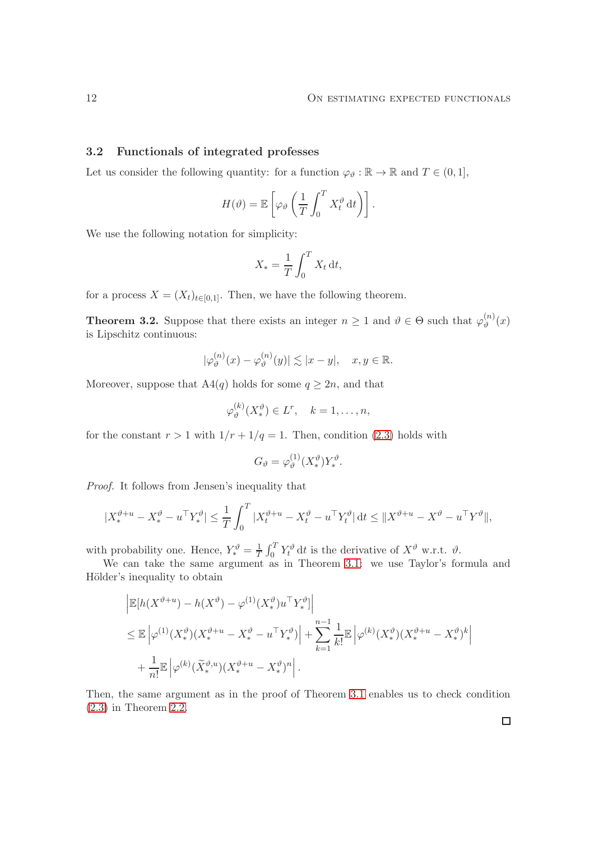### 3.2 Functionals of integrated professes

Let us consider the following quantity: for a function  $\varphi_{\vartheta} : \mathbb{R} \to \mathbb{R}$  and  $T \in (0,1]$ ,

$$
H(\vartheta) = \mathbb{E}\left[\varphi_{\vartheta}\left(\frac{1}{T}\int_0^T X_t^{\vartheta} dt\right)\right].
$$

We use the following notation for simplicity:

$$
X_* = \frac{1}{T} \int_0^T X_t \, \mathrm{d}t,
$$

for a process  $X = (X_t)_{t \in [0,1]}$ . Then, we have the following theorem.

<span id="page-11-0"></span>**Theorem 3.2.** Suppose that there exists an integer  $n \geq 1$  and  $\vartheta \in \Theta$  such that  $\varphi_{\vartheta}^{(n)}$  $\binom{n}{2}(x)$ is Lipschitz continuous:

$$
|\varphi_{\vartheta}^{(n)}(x) - \varphi_{\vartheta}^{(n)}(y)| \lesssim |x - y|, \quad x, y \in \mathbb{R}.
$$

Moreover, suppose that A4 $(q)$  holds for some  $q \geq 2n$ , and that  $\lambda$ 

$$
\varphi_{\vartheta}^{(k)}(X_*^{\vartheta}) \in L^r, \quad k = 1, \dots, n,
$$

for the constant  $r > 1$  with  $1/r + 1/q = 1$ . Then, condition [\(2.3\)](#page-6-2) holds with

$$
G_{\vartheta} = \varphi_{\vartheta}^{(1)}(X_*^{\vartheta})Y_*^{\vartheta}.
$$

Proof. It follows from Jensen's inequality that

$$
|X_*^{\vartheta+u} - X_*^{\vartheta} - u^\top Y_*^{\vartheta}| \le \frac{1}{T} \int_0^T |X_t^{\vartheta+u} - X_t^{\vartheta} - u^\top Y_t^{\vartheta}| dt \le ||X^{\vartheta+u} - X^{\vartheta} - u^\top Y^{\vartheta}||,
$$

with probability one. Hence,  $Y_*^{\vartheta} = \frac{1}{T}$  $\frac{1}{T} \int_0^T Y_t^{\vartheta} dt$  is the derivative of  $X^{\vartheta}$  w.r.t.  $\vartheta$ .

We can take the same argument as in Theorem [3.1:](#page-8-0) we use Taylor's formula and Hölder's inequality to obtain

$$
\begin{split} &\left| \mathbb{E}[h(X^{\vartheta+u}) - h(X^{\vartheta}) - \varphi^{(1)}(X_*^{\vartheta})u^\top Y_*^{\vartheta}] \right| \\ &\leq \mathbb{E}\left| \varphi^{(1)}(X_*^{\vartheta}) (X_*^{\vartheta+u} - X_*^{\vartheta} - u^\top Y_*^{\vartheta}) \right| + \sum_{k=1}^{n-1} \frac{1}{k!} \mathbb{E}\left| \varphi^{(k)}(X_*^{\vartheta}) (X_*^{\vartheta+u} - X_*^{\vartheta})^k \right| \\ &\quad + \frac{1}{n!} \mathbb{E}\left| \varphi^{(k)}(\widetilde{X}_*^{\vartheta,u})(X_*^{\vartheta+u} - X_*^{\vartheta})^n \right|. \end{split}
$$

Then, the same argument as in the proof of Theorem [3.1](#page-8-0) enables us to check condition [\(2.3\)](#page-6-2) in Theorem [2.2.](#page-6-0)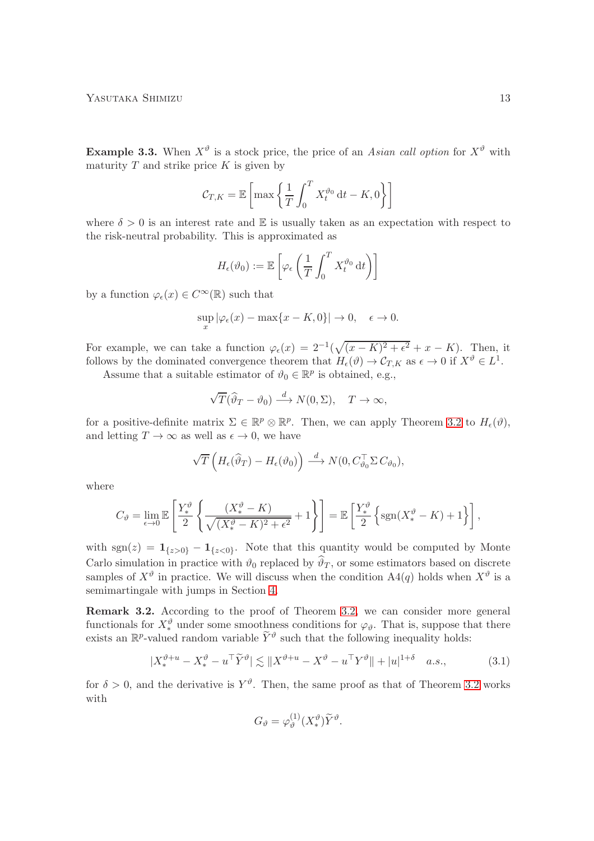<span id="page-12-2"></span>**Example 3.3.** When  $X^{\vartheta}$  is a stock price, the price of an Asian call option for  $X^{\vartheta}$  with maturity  $T$  and strike price  $K$  is given by

$$
C_{T,K} = \mathbb{E}\left[\max\left\{\frac{1}{T}\int_0^T X_t^{\vartheta_0} dt - K, 0\right\}\right]
$$

where  $\delta > 0$  is an interest rate and E is usually taken as an expectation with respect to the risk-neutral probability. This is approximated as

$$
H_{\epsilon}(\vartheta_0) := \mathbb{E}\left[\varphi_{\epsilon}\left(\frac{1}{T}\int_0^T X_t^{\vartheta_0} dt\right)\right]
$$

by a function  $\varphi_{\epsilon}(x) \in C^{\infty}(\mathbb{R})$  such that

$$
\sup_x |\varphi_\epsilon(x) - \max\{x - K, 0\}| \to 0, \quad \epsilon \to 0.
$$

For example, we can take a function  $\varphi_{\epsilon}(x) = 2^{-1}(\sqrt{(x-K)^2 + \epsilon^2} + x - K)$ . Then, it follows by the dominated convergence theorem that  $H_{\epsilon}(\vartheta) \to C_{T,K}$  as  $\epsilon \to 0$  if  $X^{\vartheta} \in L^{1}$ .

Assume that a suitable estimator of  $\vartheta_0 \in \mathbb{R}^p$  is obtained, e.g.,

$$
\sqrt{T}(\widehat{\vartheta}_T - \vartheta_0) \stackrel{d}{\longrightarrow} N(0, \Sigma), \quad T \to \infty,
$$

for a positive-definite matrix  $\Sigma \in \mathbb{R}^p \otimes \mathbb{R}^p$ . Then, we can apply Theorem [3.2](#page-11-0) to  $H_{\epsilon}(\vartheta)$ , and letting  $T \to \infty$  as well as  $\epsilon \to 0$ , we have

$$
\sqrt{T}\left(H_{\epsilon}(\widehat{\vartheta}_T) - H_{\epsilon}(\vartheta_0)\right) \stackrel{d}{\longrightarrow} N(0, C_{\vartheta_0}^{\top} \Sigma C_{\vartheta_0}),
$$

where

$$
C_{\vartheta} = \lim_{\epsilon \to 0} \mathbb{E}\left[\frac{Y_*^{\vartheta}}{2} \left\{\frac{(X_*^{\vartheta} - K)}{\sqrt{(X_*^{\vartheta} - K)^2 + \epsilon^2}} + 1\right\}\right] = \mathbb{E}\left[\frac{Y_*^{\vartheta}}{2} \left\{\text{sgn}(X_*^{\vartheta} - K) + 1\right\}\right],
$$

with sgn(z) =  $\mathbf{1}_{\{z>0\}} - \mathbf{1}_{\{z<0\}}$ . Note that this quantity would be computed by Monte Carlo simulation in practice with  $\vartheta_0$  replaced by  $\vartheta_T$ , or some estimators based on discrete samples of  $X^{\vartheta}$  in practice. We will discuss when the condition  $A4(q)$  holds when  $X^{\vartheta}$  is a semimartingale with jumps in Section [4.](#page-13-0)

<span id="page-12-1"></span>Remark 3.2. According to the proof of Theorem [3.2,](#page-11-0) we can consider more general functionals for  $X^{\vartheta}_{*}$  under some smoothness conditions for  $\varphi_{\vartheta}$ . That is, suppose that there exists an  $\mathbb{R}^p$ -valued random variable  $\widetilde{Y}^{\vartheta}$  such that the following inequality holds:

$$
|X_*^{\vartheta+u} - X_*^{\vartheta} - u^\top \widetilde{Y}^{\vartheta}| \lesssim \|X^{\vartheta+u} - X^{\vartheta} - u^\top Y^{\vartheta}\| + |u|^{1+\delta} \quad a.s., \tag{3.1}
$$

for  $\delta > 0$ , and the derivative is  $Y^{\vartheta}$ . Then, the same proof as that of Theorem [3.2](#page-11-0) works with

<span id="page-12-0"></span>
$$
G_{\vartheta} = \varphi_{\vartheta}^{(1)}(X_*^{\vartheta}) \widetilde{Y}^{\vartheta}.
$$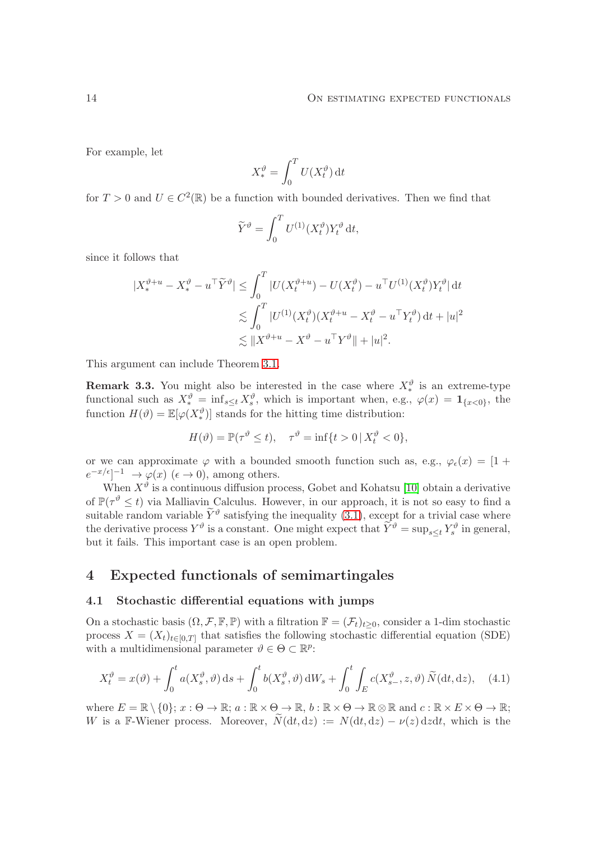For example, let

$$
X^{\vartheta}_{*} = \int_{0}^{T} U(X^{\vartheta}_{t}) dt
$$

for  $T > 0$  and  $U \in C^2(\mathbb{R})$  be a function with bounded derivatives. Then we find that

$$
\widetilde{Y}^{\vartheta} = \int_0^T U^{(1)}(X_t^{\vartheta}) Y_t^{\vartheta} dt,
$$

since it follows that

$$
\begin{aligned} |X^{\vartheta+u}_* - X^{\vartheta}_* - u^\top \widetilde{Y}^{\vartheta}| &\leq \int_0^T |U(X^{\vartheta+u}_t) - U(X^{\vartheta}_t) - u^\top U^{(1)}(X^{\vartheta}_t) Y^{\vartheta}_t| \, \mathrm{d}t \\ &\leq \int_0^T |U^{(1)}(X^{\vartheta}_t)(X^{\vartheta+u}_t - X^{\vartheta}_t - u^\top Y^{\vartheta}_t) \, \mathrm{d}t + |u|^2 \\ &\leq \|X^{\vartheta+u} - X^{\vartheta} - u^\top Y^{\vartheta}\| + |u|^2. \end{aligned}
$$

This argument can include Theorem [3.1.](#page-8-0)

**Remark 3.3.** You might also be interested in the case where  $X_*^{\theta}$  is an extreme-type functional such as  $X_*^{\vartheta} = \inf_{s \leq t} X_s^{\vartheta}$ , which is important when, e.g.,  $\varphi(x) = \mathbf{1}_{\{x < 0\}}$ , the function  $H(\vartheta) = \mathbb{E}[\varphi(X^{\vartheta}_*)]$  stands for the hitting time distribution:

<span id="page-13-1"></span>
$$
H(\vartheta) = \mathbb{P}(\tau^{\vartheta} \le t), \quad \tau^{\vartheta} = \inf\{t > 0 \,|\, X_t^{\vartheta} < 0\},
$$

or we can approximate  $\varphi$  with a bounded smooth function such as, e.g.,  $\varphi_{\epsilon}(x) = [1 +$  $e^{-x/\epsilon}$ ]<sup>-1</sup>  $\rightarrow \varphi(x)$  ( $\epsilon \rightarrow 0$ ), among others.

When  $X^{\vartheta}$  is a continuous diffusion process, Gobet and Kohatsu [\[10\]](#page-27-3) obtain a derivative of  $\mathbb{P}(\tau^{\vartheta} \leq t)$  via Malliavin Calculus. However, in our approach, it is not so easy to find a suitable random variable  $\tilde{Y}^{\vartheta}$  satisfying the inequality [\(3.1\)](#page-12-0), except for a trivial case where the derivative process  $Y^{\vartheta}$  is a constant. One might expect that  $\widetilde{Y}^{\vartheta} = \sup_{s \leq t} Y_s^{\vartheta}$  in general, but it fails. This important case is an open problem.

# <span id="page-13-0"></span>4 Expected functionals of semimartingales

### 4.1 Stochastic differential equations with jumps

On a stochastic basis  $(\Omega, \mathcal{F}, \mathbb{F}, \mathbb{P})$  with a filtration  $\mathbb{F} = (\mathcal{F}_t)_{t>0}$ , consider a 1-dim stochastic process  $X = (X_t)_{t \in [0,T]}$  that satisfies the following stochastic differential equation (SDE) with a multidimensional parameter  $\vartheta \in \Theta \subset \mathbb{R}^p$ :

$$
X_t^{\vartheta} = x(\vartheta) + \int_0^t a(X_s^{\vartheta}, \vartheta) ds + \int_0^t b(X_s^{\vartheta}, \vartheta) dW_s + \int_0^t \int_E c(X_{s-}^{\vartheta}, z, \vartheta) \widetilde{N}(dt, dz), \quad (4.1)
$$

where  $E = \mathbb{R} \setminus \{0\}; x : \Theta \to \mathbb{R}; a : \mathbb{R} \times \Theta \to \mathbb{R}, b : \mathbb{R} \times \Theta \to \mathbb{R} \otimes \mathbb{R}$  and  $c : \mathbb{R} \times E \times \Theta \to \mathbb{R};$ W is a F-Wiener process. Moreover,  $\widetilde{N}(\mathrm{d}t, \mathrm{d}z) := N(\mathrm{d}t, \mathrm{d}z) - \nu(z) \mathrm{d}z \mathrm{d}t$ , which is the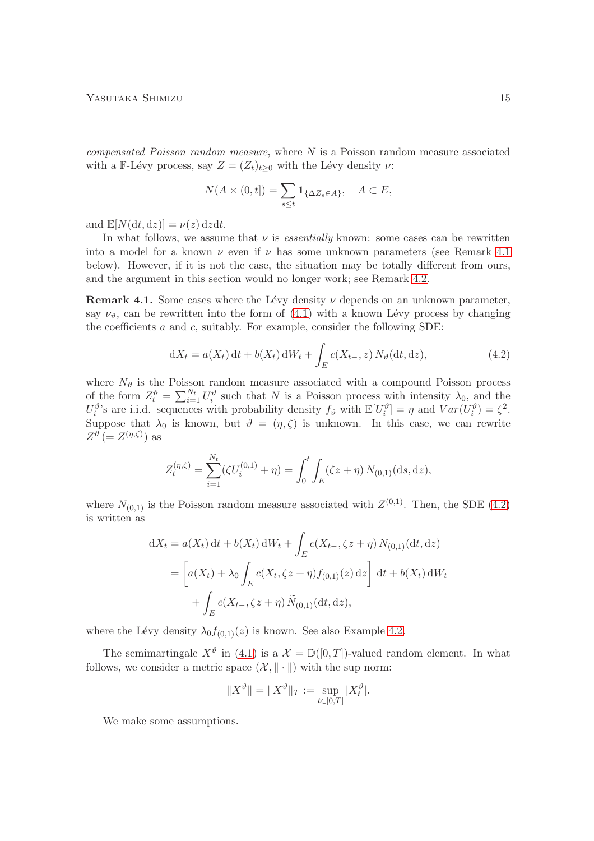compensated Poisson random measure, where N is a Poisson random measure associated with a F-Lévy process, say  $Z = (Z_t)_{t>0}$  with the Lévy density  $\nu$ :

$$
N(A \times (0,t]) = \sum_{s \le t} \mathbf{1}_{\{\Delta Z_s \in A\}}, \quad A \subset E,
$$

and  $\mathbb{E}[N(\mathrm{d}t,\mathrm{d}z)] = \nu(z) \mathrm{d}z \mathrm{d}t.$ 

In what follows, we assume that  $\nu$  is *essentially* known: some cases can be rewritten into a model for a known  $\nu$  even if  $\nu$  has some unknown parameters (see Remark [4.1](#page-14-0)) below). However, if it is not the case, the situation may be totally different from ours, and the argument in this section would no longer work; see Remark [4.2.](#page-18-0)

<span id="page-14-0"></span>Remark 4.1. Some cases where the Lévy density  $\nu$  depends on an unknown parameter, say  $\nu_{\vartheta}$ , can be rewritten into the form of [\(4.1\)](#page-13-1) with a known Lévy process by changing the coefficients  $a$  and  $c$ , suitably. For example, consider the following SDE:

<span id="page-14-1"></span>
$$
dX_t = a(X_t) dt + b(X_t) dW_t + \int_E c(X_{t-}, z) N_\vartheta(dt, dz), \qquad (4.2)
$$

where  $N_{\vartheta}$  is the Poisson random measure associated with a compound Poisson process of the form  $Z_t^{\vartheta} = \sum_{i=1}^{N_t} U_i^{\vartheta}$  such that N is a Poisson process with intensity  $\lambda_0$ , and the  $U_i^{\vartheta}$ 's are i.i.d. sequences with probability density  $f_{\vartheta}$  with  $\mathbb{E}[U_i^{\vartheta}] = \eta$  and  $Var(U_i^{\vartheta}) = \zeta^2$ . Suppose that  $\lambda_0$  is known, but  $\vartheta = (\eta, \zeta)$  is unknown. In this case, we can rewrite  $Z^{\vartheta}$  (=  $Z^{(\eta,\zeta)}$ ) as

$$
Z_t^{(\eta,\zeta)} = \sum_{i=1}^{N_t} (\zeta U_i^{(0,1)} + \eta) = \int_0^t \int_E (\zeta z + \eta) N_{(0,1)}(\mathrm{d} s, \mathrm{d} z),
$$

where  $N_{(0,1)}$  is the Poisson random measure associated with  $Z^{(0,1)}$ . Then, the SDE [\(4.2\)](#page-14-1) is written as

$$
dX_t = a(X_t) dt + b(X_t) dW_t + \int_E c(X_{t-}, \zeta z + \eta) N_{(0,1)}(dt, dz)
$$
  
= 
$$
\left[ a(X_t) + \lambda_0 \int_E c(X_t, \zeta z + \eta) f_{(0,1)}(z) dz \right] dt + b(X_t) dW_t
$$
  
+ 
$$
\int_E c(X_{t-}, \zeta z + \eta) \widetilde{N}_{(0,1)}(dt, dz),
$$

where the Lévy density  $\lambda_0 f_{(0,1)}(z)$  is known. See also Example [4.2.](#page-19-0)

The semimartingale  $X^{\vartheta}$  in [\(4.1\)](#page-13-1) is a  $\mathcal{X} = \mathbb{D}([0,T])$ -valued random element. In what follows, we consider a metric space  $(\mathcal{X}, \|\cdot\|)$  with the sup norm:

$$
||X^{\vartheta}|| = ||X^{\vartheta}||_T := \sup_{t \in [0,T]} |X_t^{\vartheta}|.
$$

We make some assumptions.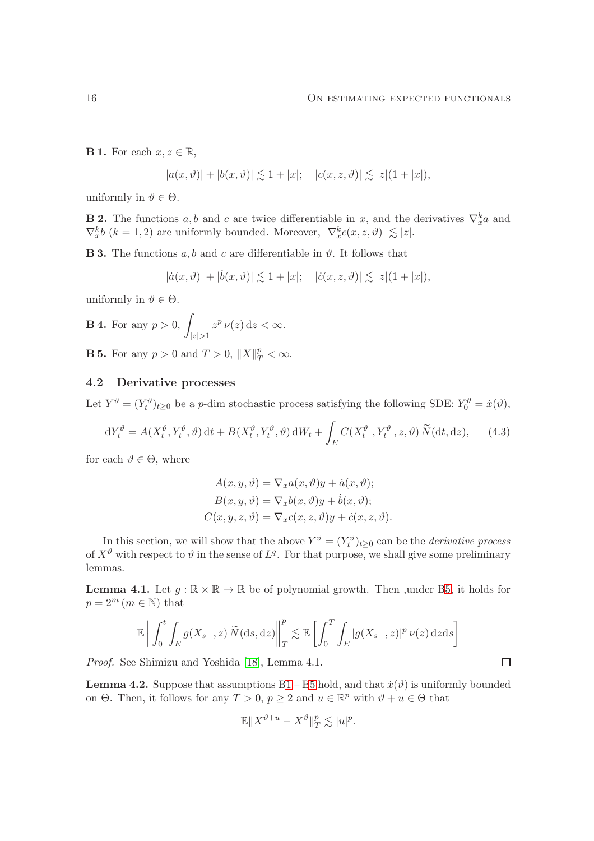<span id="page-15-1"></span>**B 1.** For each  $x, z \in \mathbb{R}$ ,

$$
|a(x,\vartheta)|+|b(x,\vartheta)|\lesssim 1+|x|;\quad |c(x,z,\vartheta)|\lesssim |z|(1+|x|),
$$

uniformly in  $\vartheta \in \Theta$ .

<span id="page-15-6"></span>**B 2.** The functions a, b and c are twice differentiable in x, and the derivatives  $\nabla_x^k a$  and  $\nabla_x^k b$   $(k = 1, 2)$  are uniformly bounded. Moreover,  $|\nabla_x^k c(x, z, \vartheta)| \lesssim |z|$ .

<span id="page-15-3"></span>**B 3.** The functions a, b and c are differentiable in  $\vartheta$ . It follows that

$$
|\dot{a}(x,\vartheta)|+|\dot{b}(x,\vartheta)|\lesssim 1+|x|;\quad |\dot{c}(x,z,\vartheta)|\lesssim |z|(1+|x|),
$$

uniformly in  $\vartheta \in \Theta$ .

<span id="page-15-4"></span>**B 4.** For any 
$$
p > 0
$$
,  $\int_{|z| > 1} z^p \nu(z) dz < \infty$ .

<span id="page-15-0"></span>**B 5.** For any  $p > 0$  and  $T > 0$ ,  $||X||_T^p < \infty$ .

### 4.2 Derivative processes

Let  $Y^{\theta} = (Y^{\theta}_t)_{t \geq 0}$  be a *p*-dim stochastic process satisfying the following SDE:  $Y^{\theta}_0 = \dot{x}(\theta)$ ,

$$
dY_t^{\vartheta} = A(X_t^{\vartheta}, Y_t^{\vartheta}, \vartheta) dt + B(X_t^{\vartheta}, Y_t^{\vartheta}, \vartheta) dW_t + \int_E C(X_{t-}^{\vartheta}, Y_{t-}^{\vartheta}, z, \vartheta) \widetilde{N}(dt, dz), \qquad (4.3)
$$

for each  $\vartheta \in \Theta$ , where

$$
A(x, y, \vartheta) = \nabla_x a(x, \vartheta) y + \dot{a}(x, \vartheta);
$$
  
\n
$$
B(x, y, \vartheta) = \nabla_x b(x, \vartheta) y + \dot{b}(x, \vartheta);
$$
  
\n
$$
C(x, y, z, \vartheta) = \nabla_x c(x, z, \vartheta) y + \dot{c}(x, z, \vartheta).
$$

In this section, we will show that the above  $Y^{\vartheta} = (Y^{\vartheta}_t)_{t \geq 0}$  can be the *derivative process* of  $X^{\vartheta}$  with respect to  $\vartheta$  in the sense of  $L^{q}$ . For that purpose, we shall give some preliminary lemmas.

<span id="page-15-2"></span>**Lemma 4.1.** Let  $g : \mathbb{R} \times \mathbb{R} \to \mathbb{R}$  be of polynomial growth. Then , under [B5,](#page-15-0) it holds for  $p = 2^m$   $(m \in \mathbb{N})$  that

$$
\mathbb{E}\left\|\int_0^t \int_E g(X_{s-}, z) \, \widetilde{N}(\mathrm{d}s, \mathrm{d}z)\right\|_T^p \lesssim \mathbb{E}\left[\int_0^T \int_E |g(X_{s-}, z)|^p \, \nu(z) \, \mathrm{d}z \mathrm{d}s\right]
$$

Proof. See Shimizu and Yoshida [\[18\]](#page-28-4), Lemma 4.1.

<span id="page-15-7"></span>**Lemma 4.2.** Suppose that assumptions  $B1 - B5$  $B1 - B5$  hold, and that  $\dot{x}(\vartheta)$  is uniformly bounded on  $\Theta$ . Then, it follows for any  $T > 0$ ,  $p \ge 2$  and  $u \in \mathbb{R}^p$  with  $\vartheta + u \in \Theta$  that

$$
\mathbb{E}||X^{\vartheta+u}-X^{\vartheta}||_{T}^{p}\lesssim |u|^{p}.
$$

<span id="page-15-5"></span> $\Box$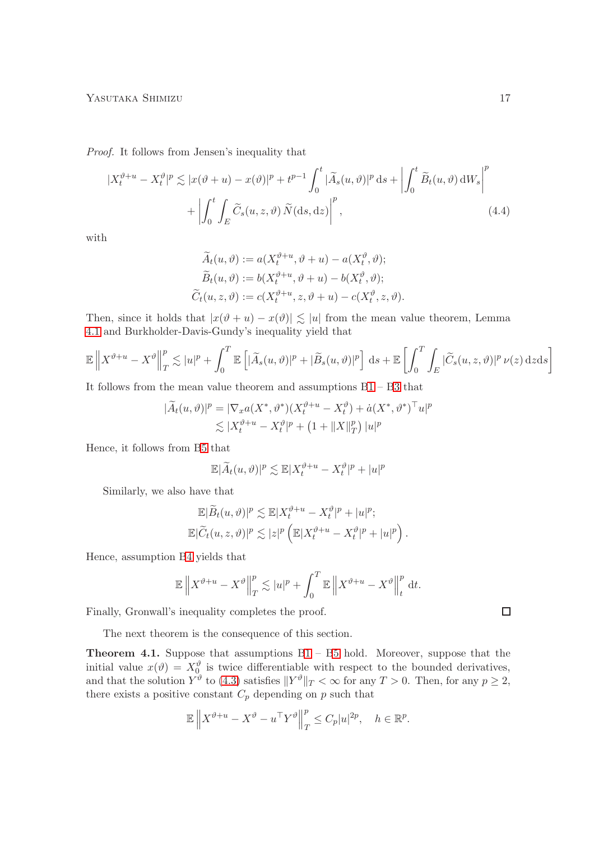Proof. It follows from Jensen's inequality that

$$
|X_t^{\vartheta+u} - X_t^{\vartheta}|^p \lesssim |x(\vartheta+u) - x(\vartheta)|^p + t^{p-1} \int_0^t |\widetilde{A}_s(u,\vartheta)|^p ds + \left| \int_0^t \widetilde{B}_t(u,\vartheta) dW_s \right|^p + \left| \int_0^t \int_E \widetilde{C}_s(u,z,\vartheta) \widetilde{N}(ds, dz) \right|^p, \tag{4.4}
$$

with

$$
\widetilde{A}_t(u, \vartheta) := a(X_t^{\vartheta + u}, \vartheta + u) - a(X_t^{\vartheta}, \vartheta);
$$
  
\n
$$
\widetilde{B}_t(u, \vartheta) := b(X_t^{\vartheta + u}, \vartheta + u) - b(X_t^{\vartheta}, \vartheta);
$$
  
\n
$$
\widetilde{C}_t(u, z, \vartheta) := c(X_t^{\vartheta + u}, z, \vartheta + u) - c(X_t^{\vartheta}, z, \vartheta).
$$

Then, since it holds that  $|x(\vartheta + u) - x(\vartheta)| \lesssim |u|$  from the mean value theorem, Lemma [4.1](#page-15-2) and Burkholder-Davis-Gundy's inequality yield that

$$
\mathbb{E}\left\|X^{\vartheta+u}-X^{\vartheta}\right\|_{T}^{p} \lesssim |u|^{p}+\int_{0}^{T}\mathbb{E}\left[|\widetilde{A}_{s}(u,\vartheta)|^{p}+|\widetilde{B}_{s}(u,\vartheta)|^{p}\right]ds+\mathbb{E}\left[\int_{0}^{T}\int_{E}|\widetilde{C}_{s}(u,z,\vartheta)|^{p}\nu(z)\,dzds\right]
$$

It follows from the mean value theorem and assumptions [B1](#page-15-1) – [B3](#page-15-3) that

$$
|\widetilde{A}_t(u,\vartheta)|^p = |\nabla_x a(X^*,\vartheta^*)(X_t^{\vartheta+u} - X_t^{\vartheta}) + \dot{a}(X^*,\vartheta^*)^\top u|^p
$$
  

$$
\lesssim |X_t^{\vartheta+u} - X_t^{\vartheta}|^p + \left(1 + \|X\|_T^p\right) |u|^p
$$

Hence, it follows from [B5](#page-15-0) that

$$
\mathbb{E}|\widetilde{A}_t(u,\vartheta)|^p \lesssim \mathbb{E}|X_t^{\vartheta+u} - X_t^{\vartheta}|^p + |u|^p
$$

Similarly, we also have that

$$
\mathbb{E}|\widetilde{B}_t(u,\vartheta)|^p \lesssim \mathbb{E}|X_t^{\vartheta+u} - X_t^{\vartheta}|^p + |u|^p;
$$
  

$$
\mathbb{E}|\widetilde{C}_t(u,z,\vartheta)|^p \lesssim |z|^p \left(\mathbb{E}|X_t^{\vartheta+u} - X_t^{\vartheta}|^p + |u|^p\right).
$$

Hence, assumption [B4](#page-15-4) yields that

$$
\mathbb{E}\left\|X^{\vartheta+u}-X^{\vartheta}\right\|_{T}^{p}\lesssim|u|^{p}+\int_{0}^{T}\mathbb{E}\left\|X^{\vartheta+u}-X^{\vartheta}\right\|_{t}^{p}\mathrm{d}t.
$$

Finally, Gronwall's inequality completes the proof.

The next theorem is the consequence of this section.

<span id="page-16-0"></span>Theorem 4.1. Suppose that assumptions [B1](#page-15-1) – [B5](#page-15-0) hold. Moreover, suppose that the initial value  $x(\vartheta) = X_0^{\vartheta}$  is twice differentiable with respect to the bounded derivatives, and that the solution  $Y^{\vartheta}$  to [\(4.3\)](#page-15-5) satisfies  $||Y^{\vartheta}||_T < \infty$  for any  $T > 0$ . Then, for any  $p \ge 2$ , there exists a positive constant  $C_p$  depending on p such that

$$
\mathbb{E}\left\|X^{\vartheta+u} - X^{\vartheta} - u^{\top}Y^{\vartheta}\right\|_{T}^{p} \leq C_{p}|u|^{2p}, \quad h \in \mathbb{R}^{p}.
$$

 $\Box$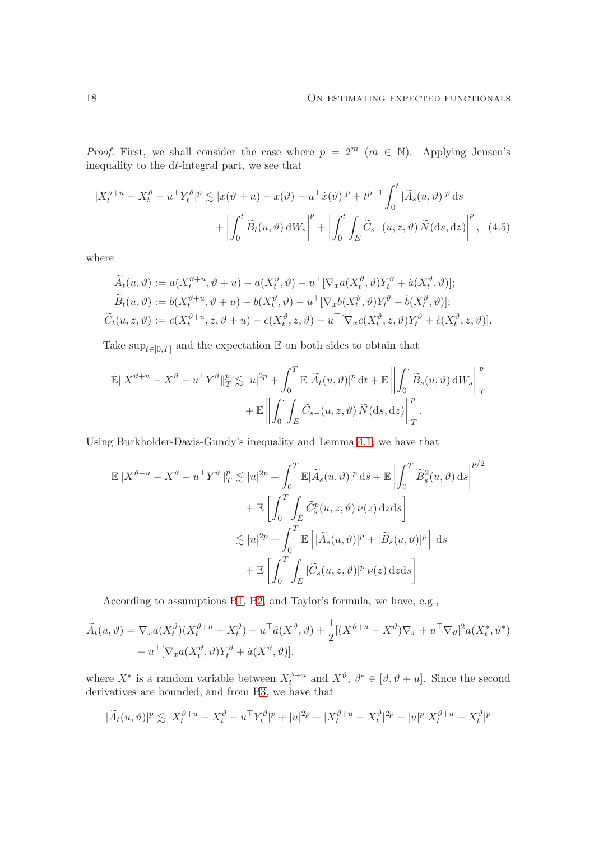*Proof.* First, we shall consider the case where  $p = 2^m$  ( $m \in \mathbb{N}$ ). Applying Jensen's inequality to the dt-integral part, we see that

$$
|X_t^{\vartheta+u} - X_t^{\vartheta} - u^{\top} Y_t^{\vartheta}|^p \lesssim |x(\vartheta+u) - x(\vartheta) - u^{\top} \dot{x}(\vartheta)|^p + t^{p-1} \int_0^t |\widetilde{A}_s(u, \vartheta)|^p ds
$$
  
+ 
$$
\left| \int_0^t \widetilde{B}_t(u, \vartheta) dW_s \right|^p + \left| \int_0^t \int_E \widetilde{C}_{s-}(u, z, \vartheta) \widetilde{N}(ds, dz) \right|^p, (4.5)
$$

where

$$
\widetilde{A}_t(u, \vartheta) := a(X_t^{\vartheta + u}, \vartheta + u) - a(X_t^{\vartheta}, \vartheta) - u^{\top}[\nabla_x a(X_t^{\vartheta}, \vartheta)Y_t^{\vartheta} + \dot{a}(X_t^{\vartheta}, \vartheta)];
$$
\n
$$
\widetilde{B}_t(u, \vartheta) := b(X_t^{\vartheta + u}, \vartheta + u) - b(X_t^{\vartheta}, \vartheta) - u^{\top}[\nabla_x b(X_t^{\vartheta}, \vartheta)Y_t^{\vartheta} + \dot{b}(X_t^{\vartheta}, \vartheta)];
$$
\n
$$
\widetilde{C}_t(u, z, \vartheta) := c(X_t^{\vartheta + u}, z, \vartheta + u) - c(X_t^{\vartheta}, z, \vartheta) - u^{\top}[\nabla_x c(X_t^{\vartheta}, z, \vartheta)Y_t^{\vartheta} + \dot{c}(X_t^{\vartheta}, z, \vartheta)].
$$

Take  $\sup_{t\in[0,T]}$  and the expectation  $\mathbb E$  on both sides to obtain that

$$
\mathbb{E} \|X^{\vartheta+u} - X^{\vartheta} - u^{\top} Y^{\vartheta} \|_{T}^{p} \lesssim |u|^{2p} + \int_{0}^{T} \mathbb{E} |\widetilde{A}_{t}(u, \vartheta)|^{p} dt + \mathbb{E} \left\| \int_{0}^{\cdot} \widetilde{B}_{s}(u, \vartheta) dW_{s} \right\|_{T}^{p} + \mathbb{E} \left\| \int_{0}^{\cdot} \int_{E} \widetilde{C}_{s-}(u, z, \vartheta) \widetilde{N}(\mathrm{d}s, \mathrm{d}z) \right\|_{T}^{p}.
$$

Using Burkholder-Davis-Gundy's inequality and Lemma [4.1,](#page-15-2) we have that

$$
\mathbb{E}||X^{\vartheta+u} - X^{\vartheta} - u^{\top}Y^{\vartheta}||_{T}^{p} \lesssim |u|^{2p} + \int_{0}^{T} \mathbb{E}|\widetilde{A}_{s}(u,\vartheta)|^{p} ds + \mathbb{E} \left| \int_{0}^{T} \widetilde{B}_{s}^{2}(u,\vartheta) ds \right|^{p/2} \n+ \mathbb{E} \left[ \int_{0}^{T} \int_{E} \widetilde{C}_{s}^{p}(u,z,\vartheta) \nu(z) dz ds \right] \n\lesssim |u|^{2p} + \int_{0}^{T} \mathbb{E} \left[ |\widetilde{A}_{s}(u,\vartheta)|^{p} + |\widetilde{B}_{s}(u,\vartheta)|^{p} \right] ds \n+ \mathbb{E} \left[ \int_{0}^{T} \int_{E} |\widetilde{C}_{s}(u,z,\vartheta)|^{p} \nu(z) dz ds \right]
$$

According to assumptions [B1,](#page-15-1) [B2,](#page-15-6) and Taylor's formula, we have, e.g.,

$$
\widetilde{A}_t(u,\vartheta) = \nabla_x a(X_t^{\vartheta}) (X_t^{\vartheta+u} - X_t^{\vartheta}) + u^{\top} \dot{a}(X^{\vartheta}, \vartheta) + \frac{1}{2} [(X^{\vartheta+u} - X^{\vartheta}) \nabla_x + u^{\top} \nabla_{\vartheta}]^2 a(X_t^*, \vartheta^*)
$$
  
\n
$$
- u^{\top} [\nabla_x a(X_t^{\vartheta}, \vartheta) Y_t^{\vartheta} + \dot{a}(X^{\vartheta}, \vartheta)],
$$

where  $X^*$  is a random variable between  $X_t^{\vartheta+u}$  and  $X^{\vartheta}$ ,  $\vartheta^* \in [\vartheta, \vartheta + u]$ . Since the second derivatives are bounded, and from [B3,](#page-15-3) we have that

$$
|\widetilde{A}_t(u,\vartheta)|^p \lesssim |X^{\vartheta+u}_t - X^{\vartheta}_t - u^\top Y^{\vartheta}_t |^p + |u|^{2p} + |X^{\vartheta+u}_t - X^{\vartheta}_t |^{2p} + |u|^p |X^{\vartheta+u}_t - X^{\vartheta}_t |^p
$$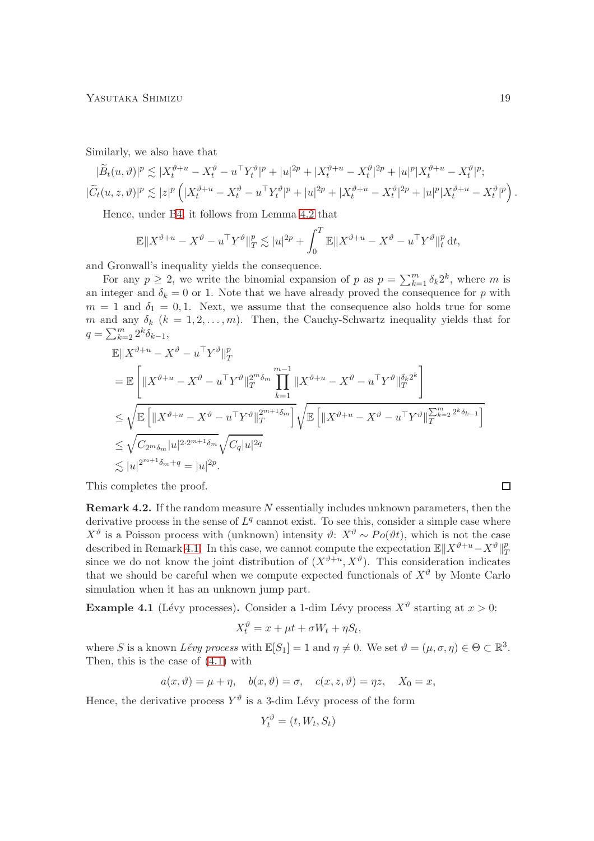Similarly, we also have that

$$
|\widetilde{B}_t(u,\vartheta)|^p \lesssim |X_t^{\vartheta+u} - X_t^{\vartheta} - u^\top Y_t^{\vartheta}|^p + |u|^{2p} + |X_t^{\vartheta+u} - X_t^{\vartheta}|^{2p} + |u|^p |X_t^{\vartheta+u} - X_t^{\vartheta}|^p;
$$
  

$$
|\widetilde{C}_t(u,z,\vartheta)|^p \lesssim |z|^p \left( |X_t^{\vartheta+u} - X_t^{\vartheta} - u^\top Y_t^{\vartheta}|^p + |u|^{2p} + |X_t^{\vartheta+u} - X_t^{\vartheta}|^{2p} + |u|^p |X_t^{\vartheta+u} - X_t^{\vartheta}|^p \right).
$$

Hence, under [B4,](#page-15-4) it follows from Lemma [4.2](#page-15-7) that

$$
\mathbb{E} \|X^{\vartheta+u} - X^{\vartheta} - u^\top Y^{\vartheta} \|_{T}^p \lesssim |u|^{2p} + \int_0^T \mathbb{E} \|X^{\vartheta+u} - X^{\vartheta} - u^\top Y^{\vartheta} \|_{t}^p dt,
$$

and Gronwall's inequality yields the consequence.

For any  $p \geq 2$ , we write the binomial expansion of p as  $p = \sum_{k=1}^{m} \delta_k 2^k$ , where m is an integer and  $\delta_k = 0$  or 1. Note that we have already proved the consequence for p with  $m = 1$  and  $\delta_1 = 0, 1$ . Next, we assume that the consequence also holds true for some m and any  $\delta_k$   $(k = 1, 2, ..., m)$ . Then, the Cauchy-Schwartz inequality yields that for  $q = \sum_{k=2}^{m} 2^k \delta_{k-1},$ 

$$
\mathbb{E}||X^{\vartheta+u} - X^{\vartheta} - u^{\top}Y^{\vartheta}||_{T}^{p}
$$
\n
$$
= \mathbb{E}\left[\|X^{\vartheta+u} - X^{\vartheta} - u^{\top}Y^{\vartheta}||_{T}^{2^{m}\delta_{m}}\prod_{k=1}^{m-1} \|X^{\vartheta+u} - X^{\vartheta} - u^{\top}Y^{\vartheta}||_{T}^{\delta_{k}2^{k}}\right]
$$
\n
$$
\leq \sqrt{\mathbb{E}\left[\|X^{\vartheta+u} - X^{\vartheta} - u^{\top}Y^{\vartheta}||_{T}^{2^{m+1}\delta_{m}}\right]}\sqrt{\mathbb{E}\left[\|X^{\vartheta+u} - X^{\vartheta} - u^{\top}Y^{\vartheta}||_{T}^{\sum_{k=2}^{m-2}\delta_{k-1}}\right]}
$$
\n
$$
\leq \sqrt{C_{2^{m}\delta_{m}}|u|^{2\cdot 2^{m+1}\delta_{m}}}\sqrt{C_{q}|u|^{2q}}
$$
\n
$$
\lesssim |u|^{2^{m+1}\delta_{m}+q} = |u|^{2p}.
$$

This completes the proof.

<span id="page-18-0"></span>**Remark 4.2.** If the random measure  $N$  essentially includes unknown parameters, then the derivative process in the sense of  $L^q$  cannot exist. To see this, consider a simple case where  $X^{\vartheta}$  is a Poisson process with (unknown) intensity  $\vartheta$ :  $X^{\vartheta} \sim Po(\vartheta t)$ , which is not the case described in Remark [4.1.](#page-14-0) In this case, we cannot compute the expectation  $\mathbb{E} \|X^{\vartheta+u}-X^{\vartheta}\|_T^p$ T since we do not know the joint distribution of  $(X^{\vartheta+u}, X^{\vartheta})$ . This consideration indicates that we should be careful when we compute expected functionals of  $X^{\vartheta}$  by Monte Carlo simulation when it has an unknown jump part.

<span id="page-18-1"></span>**Example 4.1** (Lévy processes). Consider a 1-dim Lévy process  $X^{\vartheta}$  starting at  $x > 0$ :

$$
X_t^{\vartheta} = x + \mu t + \sigma W_t + \eta S_t,
$$

where S is a known Lévy process with  $\mathbb{E}[S_1] = 1$  and  $\eta \neq 0$ . We set  $\vartheta = (\mu, \sigma, \eta) \in \Theta \subset \mathbb{R}^3$ . Then, this is the case of [\(4.1\)](#page-13-1) with

$$
a(x, \vartheta) = \mu + \eta
$$
,  $b(x, \vartheta) = \sigma$ ,  $c(x, z, \vartheta) = \eta z$ ,  $X_0 = x$ ,

Hence, the derivative process  $Y^{\vartheta}$  is a 3-dim Lévy process of the form

$$
Y_t^{\vartheta} = (t, W_t, S_t)
$$

 $\Box$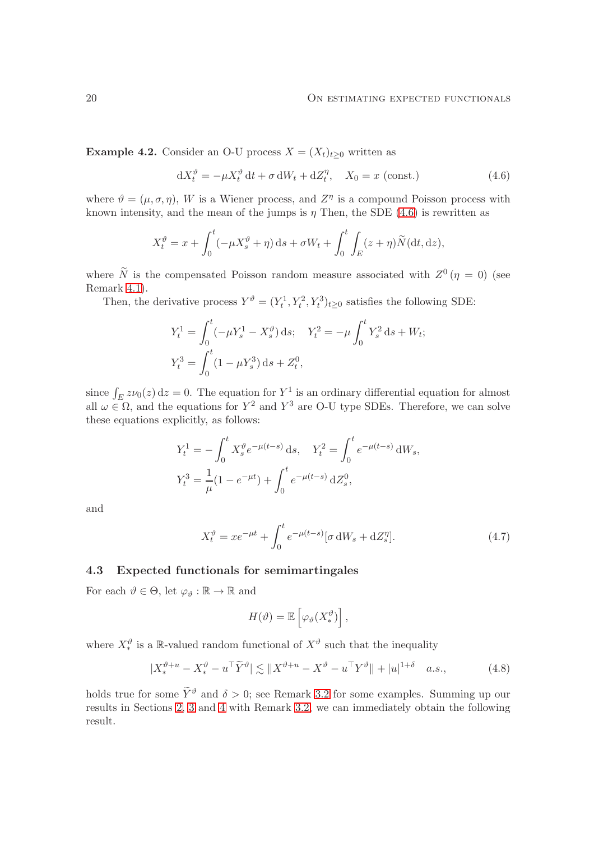<span id="page-19-0"></span>Example 4.2. Consider an O-U process  $X = (X_t)_{t\geq 0}$  written as

<span id="page-19-1"></span>
$$
dX_t^{\vartheta} = -\mu X_t^{\vartheta} dt + \sigma dW_t + dZ_t^{\eta}, \quad X_0 = x \text{ (const.)}
$$
 (4.6)

where  $\vartheta = (\mu, \sigma, \eta)$ , W is a Wiener process, and  $Z^{\eta}$  is a compound Poisson process with known intensity, and the mean of the jumps is  $\eta$  Then, the SDE [\(4.6\)](#page-19-1) is rewritten as

$$
X_t^{\vartheta} = x + \int_0^t (-\mu X_s^{\vartheta} + \eta) \, ds + \sigma W_t + \int_0^t \int_E (z + \eta) \widetilde{N}(\mathrm{d}t, \mathrm{d}z),
$$

where  $\tilde{N}$  is the compensated Poisson random measure associated with  $Z^0(\eta = 0)$  (see Remark [4.1\)](#page-14-0).

Then, the derivative process  $Y^{\vartheta} = (Y_t^1, Y_t^2, Y_t^3)_{t \geq 0}$  satisfies the following SDE:

$$
Y_t^1 = \int_0^t (-\mu Y_s^1 - X_s^{\vartheta}) ds; \quad Y_t^2 = -\mu \int_0^t Y_s^2 ds + W_t;
$$
  

$$
Y_t^3 = \int_0^t (1 - \mu Y_s^3) ds + Z_t^0,
$$

since  $\int_E z\nu_0(z) dz = 0$ . The equation for Y<sup>1</sup> is an ordinary differential equation for almost all  $\omega \in \Omega$ , and the equations for  $Y^2$  and  $Y^3$  are O-U type SDEs. Therefore, we can solve these equations explicitly, as follows:

$$
Y_t^1 = -\int_0^t X_s^{\vartheta} e^{-\mu(t-s)} ds, \quad Y_t^2 = \int_0^t e^{-\mu(t-s)} dW_s,
$$
  

$$
Y_t^3 = \frac{1}{\mu} (1 - e^{-\mu t}) + \int_0^t e^{-\mu(t-s)} dZ_s^0,
$$

and

$$
X_t^{\vartheta} = xe^{-\mu t} + \int_0^t e^{-\mu(t-s)} [\sigma \, \mathrm{d}W_s + \mathrm{d}Z_s^{\eta}]. \tag{4.7}
$$

#### 4.3 Expected functionals for semimartingales

For each  $\vartheta \in \Theta$ , let  $\varphi_{\vartheta} : \mathbb{R} \to \mathbb{R}$  and

<span id="page-19-3"></span><span id="page-19-2"></span>
$$
H(\vartheta) = \mathbb{E}\left[\varphi_{\vartheta}(X_*^{\vartheta})\right],
$$

where  $X_*^{\vartheta}$  is a R-valued random functional of  $X^{\vartheta}$  such that the inequality

$$
|X_*^{\vartheta+u} - X_*^{\vartheta} - u^\top \widetilde{Y}^{\vartheta}| \lesssim \|X^{\vartheta+u} - X^{\vartheta} - u^\top Y^{\vartheta}\| + |u|^{1+\delta} \quad a.s., \tag{4.8}
$$

holds true for some  $\widetilde{Y}^{\vartheta}$  and  $\delta > 0$ ; see Remark [3.2](#page-12-1) for some examples. Summing up our results in Sections [2,](#page-3-0) [3](#page-7-0) and [4](#page-13-0) with Remark [3.2,](#page-12-1) we can immediately obtain the following result.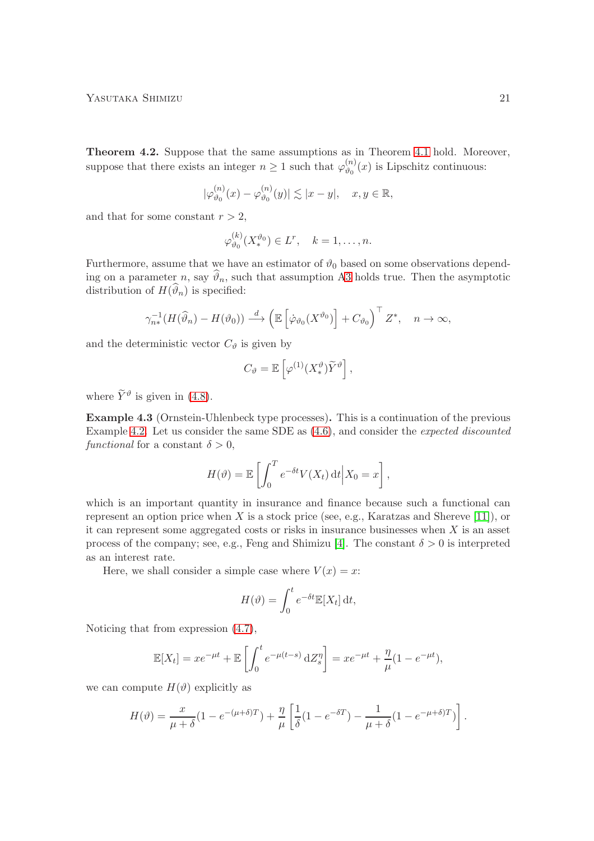<span id="page-20-1"></span>Theorem 4.2. Suppose that the same assumptions as in Theorem [4.1](#page-16-0) hold. Moreover, suppose that there exists an integer  $n \geq 1$  such that  $\varphi_{\vartheta_0}^{(n)}$  $\binom{n}{v_0}(x)$  is Lipschitz continuous:

$$
|\varphi_{\vartheta_0}^{(n)}(x) - \varphi_{\vartheta_0}^{(n)}(y)| \lesssim |x - y|, \quad x, y \in \mathbb{R},
$$

and that for some constant  $r > 2$ .

$$
\varphi_{\vartheta_0}^{(k)}(X_*^{\vartheta_0}) \in L^r, \quad k = 1, \dots, n.
$$

Furthermore, assume that we have an estimator of  $\vartheta_0$  based on some observations depending on a parameter n, say  $\vartheta_n$ , such that assumption [A3](#page-4-0) holds true. Then the asymptotic distribution of  $H(\vartheta_n)$  is specified:

$$
\gamma_{n*}^{-1}(H(\widehat{\vartheta}_n) - H(\vartheta_0)) \stackrel{d}{\longrightarrow} \left(\mathbb{E}\left[\dot{\varphi}_{\vartheta_0}(X^{\vartheta_0})\right] + C_{\vartheta_0}\right)^{\top} Z^*, \quad n \to \infty,
$$

and the deterministic vector  $C_{\vartheta}$  is given by

$$
C_{\vartheta} = \mathbb{E}\left[\varphi^{(1)}(X_*^{\vartheta})\widetilde{Y}^{\vartheta}\right],
$$

where  $\tilde{Y}^{\vartheta}$  is given in [\(4.8\)](#page-19-2).

<span id="page-20-0"></span>Example 4.3 (Ornstein-Uhlenbeck type processes). This is a continuation of the previous Example [4.2.](#page-19-0) Let us consider the same SDE as [\(4.6\)](#page-19-1), and consider the expected discounted functional for a constant  $\delta > 0$ ,

$$
H(\vartheta) = \mathbb{E}\left[\int_0^T e^{-\delta t} V(X_t) dt \Big| X_0 = x\right],
$$

which is an important quantity in insurance and finance because such a functional can represent an option price when  $X$  is a stock price (see, e.g., Karatzas and Shereve [\[11\]](#page-28-5)), or it can represent some aggregated costs or risks in insurance businesses when  $X$  is an asset process of the company; see, e.g., Feng and Shimizu [\[4\]](#page-27-7). The constant  $\delta > 0$  is interpreted as an interest rate.

Here, we shall consider a simple case where  $V(x) = x$ :

$$
H(\vartheta) = \int_0^t e^{-\delta t} \mathbb{E}[X_t] dt,
$$

Noticing that from expression [\(4.7\)](#page-19-3),

$$
\mathbb{E}[X_t] = xe^{-\mu t} + \mathbb{E}\left[\int_0^t e^{-\mu(t-s)} dZ_s^{\eta}\right] = xe^{-\mu t} + \frac{\eta}{\mu}(1 - e^{-\mu t}),
$$

we can compute  $H(\vartheta)$  explicitly as

$$
H(\vartheta) = \frac{x}{\mu + \delta} (1 - e^{-(\mu + \delta)T}) + \frac{\eta}{\mu} \left[ \frac{1}{\delta} (1 - e^{-\delta T}) - \frac{1}{\mu + \delta} (1 - e^{-\mu + \delta)T}) \right].
$$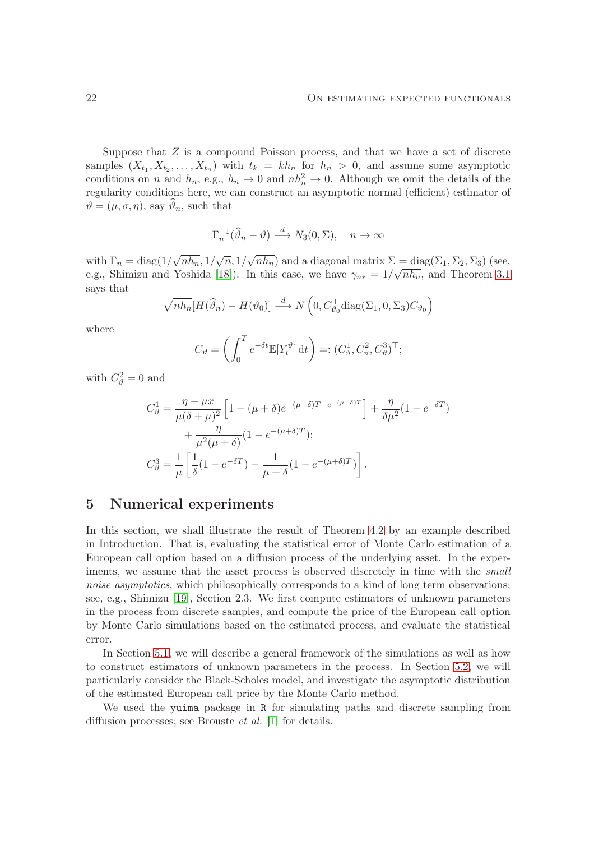Suppose that  $Z$  is a compound Poisson process, and that we have a set of discrete samples  $(X_{t_1}, X_{t_2},..., X_{t_n})$  with  $t_k = kh_n$  for  $h_n > 0$ , and assume some asymptotic conditions on n and  $h_n$ , e.g.,  $h_n \to 0$  and  $nh_n^2 \to 0$ . Although we omit the details of the regularity conditions here, we can construct an asymptotic normal (efficient) estimator of  $\vartheta = (\mu, \sigma, \eta)$ , say  $\vartheta_n$ , such that

$$
\Gamma_n^{-1}(\widehat{\vartheta}_n - \vartheta) \stackrel{d}{\longrightarrow} N_3(0, \Sigma), \quad n \to \infty
$$

with  $\Gamma_n = \text{diag}(1/\sqrt{n\hbar_n}, 1/\sqrt{n}, 1/\sqrt{n\hbar_n})$  and a diagonal matrix  $\Sigma = \text{diag}(\Sigma_1, \Sigma_2, \Sigma_3)$  (see, e.g., Shimizu and Yoshida [\[18\]](#page-28-4)). In this case, we have  $\gamma_{n*} = 1/\sqrt{n h_n}$ , and Theorem [3.1](#page-8-0) says that

$$
\sqrt{nh_n}[H(\widehat{\vartheta}_n) - H(\vartheta_0)] \stackrel{d}{\longrightarrow} N\left(0, C_{\vartheta_0}^\top \text{diag}(\Sigma_1, 0, \Sigma_3) C_{\vartheta_0}\right)
$$

where

$$
C_{\vartheta} = \left( \int_0^T e^{-\delta t} \mathbb{E}[Y_t^{\vartheta}] dt \right) =: (C_{\vartheta}^1, C_{\vartheta}^2, C_{\vartheta}^3)^{\top};
$$

with  $C_{\vartheta}^2 = 0$  and

$$
C_{\vartheta}^{1} = \frac{\eta - \mu x}{\mu(\delta + \mu)^{2}} \left[ 1 - (\mu + \delta)e^{-(\mu + \delta)T - e^{-(\mu + \delta)T}} \right] + \frac{\eta}{\delta\mu^{2}} (1 - e^{-\delta T}) + \frac{\eta}{\mu^{2}(\mu + \delta)} (1 - e^{-(\mu + \delta)T});
$$
  

$$
C_{\vartheta}^{3} = \frac{1}{\mu} \left[ \frac{1}{\delta} (1 - e^{-\delta T}) - \frac{1}{\mu + \delta} (1 - e^{-(\mu + \delta)T}) \right].
$$

# 5 Numerical experiments

In this section, we shall illustrate the result of Theorem [4.2](#page-20-1) by an example described in Introduction. That is, evaluating the statistical error of Monte Carlo estimation of a European call option based on a diffusion process of the underlying asset. In the experiments, we assume that the asset process is observed discretely in time with the small noise asymptotics, which philosophically corresponds to a kind of long term observations; see, e.g., Shimizu [\[19\]](#page-28-6), Section 2.3. We first compute estimators of unknown parameters in the process from discrete samples, and compute the price of the European call option by Monte Carlo simulations based on the estimated process, and evaluate the statistical error.

In Section [5.1,](#page-22-0) we will describe a general framework of the simulations as well as how to construct estimators of unknown parameters in the process. In Section [5.2,](#page-23-0) we will particularly consider the Black-Scholes model, and investigate the asymptotic distribution of the estimated European call price by the Monte Carlo method.

We used the yuima package in R for simulating paths and discrete sampling from diffusion processes; see Brouste et al. [\[1\]](#page-27-8) for details.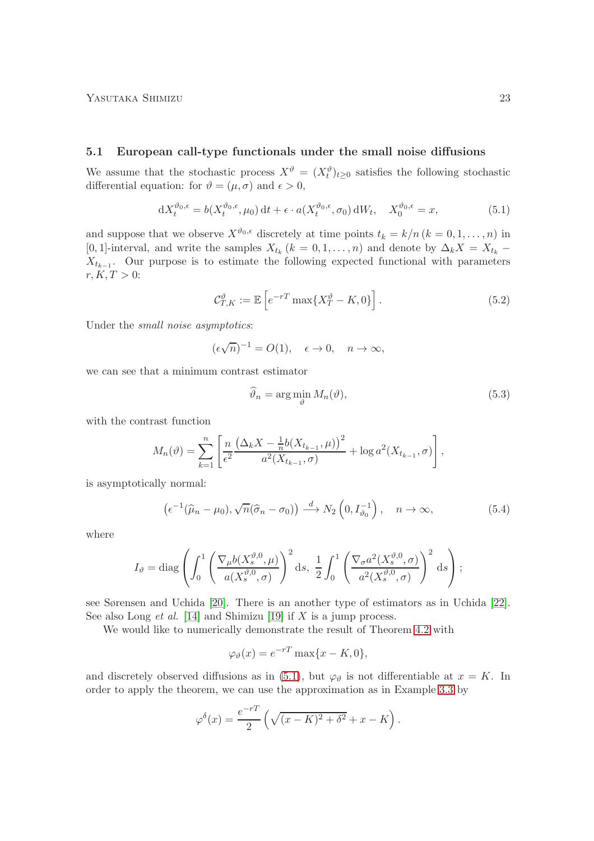### <span id="page-22-0"></span>5.1 European call-type functionals under the small noise diffusions

We assume that the stochastic process  $X^{\vartheta} = (X_t^{\vartheta})_{t \geq 0}$  satisfies the following stochastic differential equation: for  $\vartheta = (\mu, \sigma)$  and  $\epsilon > 0$ ,

$$
dX_t^{\vartheta_0,\epsilon} = b(X_t^{\vartheta_0,\epsilon}, \mu_0) dt + \epsilon \cdot a(X_t^{\vartheta_0,\epsilon}, \sigma_0) dW_t, \quad X_0^{\vartheta_0,\epsilon} = x,
$$
\n(5.1)

and suppose that we observe  $X^{\vartheta_0,\epsilon}$  discretely at time points  $t_k = k/n$   $(k = 0, 1, \ldots, n)$  in [0, 1]-interval, and write the samples  $X_{t_k}$  ( $k = 0, 1, ..., n$ ) and denote by  $\Delta_k X = X_{t_k}$  –  $X_{t_{k-1}}$ . Our purpose is to estimate the following expected functional with parameters  $r, K, T > 0:$ 

<span id="page-22-1"></span>
$$
\mathcal{C}_{T,K}^{\vartheta} := \mathbb{E}\left[e^{-rT}\max\{X_T^{\vartheta} - K, 0\}\right].\tag{5.2}
$$

Under the small noise asymptotics:

$$
(\epsilon \sqrt{n})^{-1} = O(1), \quad \epsilon \to 0, \quad n \to \infty,
$$

we can see that a minimum contrast estimator

<span id="page-22-4"></span><span id="page-22-3"></span><span id="page-22-2"></span>
$$
\widehat{\vartheta}_n = \arg\min_{\vartheta} M_n(\vartheta),\tag{5.3}
$$

with the contrast function

$$
M_n(\vartheta) = \sum_{k=1}^n \left[ \frac{n}{\epsilon^2} \frac{\left(\Delta_k X - \frac{1}{n} b(X_{t_{k-1}}, \mu)\right)^2}{a^2 (X_{t_{k-1}}, \sigma)} + \log a^2 (X_{t_{k-1}}, \sigma) \right],
$$

is asymptotically normal:

$$
\left(\epsilon^{-1}(\widehat{\mu}_n-\mu_0),\sqrt{n}(\widehat{\sigma}_n-\sigma_0)\right)\stackrel{d}{\longrightarrow}N_2\left(0,I_{\vartheta_0}^{-1}\right),\quad n\to\infty,
$$
\n(5.4)

where

$$
I_{\vartheta} = \text{diag}\left(\int_0^1 \left(\frac{\nabla_{\mu}b(X_s^{\vartheta,0}, \mu)}{a(X_s^{\vartheta,0}, \sigma)}\right)^2 ds, \frac{1}{2} \int_0^1 \left(\frac{\nabla_{\sigma}a^2(X_s^{\vartheta,0}, \sigma)}{a^2(X_s^{\vartheta,0}, \sigma)}\right)^2 ds\right);
$$

see Sørensen and Uchida [\[20\]](#page-28-7). There is an another type of estimators as in Uchida [\[22\]](#page-28-8). See also Long *et al.* [\[14\]](#page-28-9) and Shimizu [\[19\]](#page-28-6) if  $X$  is a jump process.

We would like to numerically demonstrate the result of Theorem [4.2](#page-20-1) with

$$
\varphi_{\vartheta}(x) = e^{-rT} \max\{x - K, 0\},\,
$$

and discretely observed diffusions as in [\(5.1\)](#page-22-1), but  $\varphi_{\vartheta}$  is not differentiable at  $x = K$ . In order to apply the theorem, we can use the approximation as in Example [3.3](#page-12-2) by

$$
\varphi^{\delta}(x) = \frac{e^{-rT}}{2} \left( \sqrt{(x-K)^2 + \delta^2} + x - K \right).
$$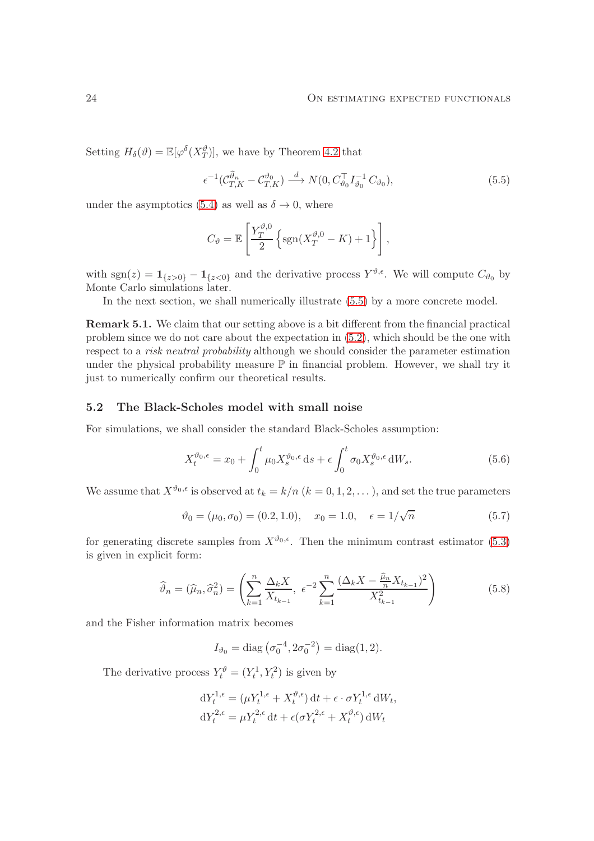Setting  $H_{\delta}(\vartheta) = \mathbb{E}[\varphi^{\delta}(X_T^{\vartheta})],$  we have by Theorem [4.2](#page-20-1) that

<span id="page-23-1"></span>
$$
\epsilon^{-1}(\mathcal{C}^{\widehat{\vartheta}_n}_{T,K} - \mathcal{C}^{\vartheta_0}_{T,K}) \stackrel{d}{\longrightarrow} N(0, C^{\top}_{\vartheta_0} I^{-1}_{\vartheta_0} C_{\vartheta_0}), \tag{5.5}
$$

under the asymptotics [\(5.4\)](#page-22-2) as well as  $\delta \rightarrow 0$ , where

$$
C_{\vartheta} = \mathbb{E}\left[\frac{Y_T^{\vartheta,0}}{2}\left\{\text{sgn}(X_T^{\vartheta,0} - K) + 1\right\}\right],
$$

with  $sgn(z) = 1_{\{z>0\}} - 1_{\{z<0\}}$  and the derivative process  $Y^{\vartheta,\epsilon}$ . We will compute  $C_{\vartheta_0}$  by Monte Carlo simulations later.

In the next section, we shall numerically illustrate [\(5.5\)](#page-23-1) by a more concrete model.

<span id="page-23-2"></span>Remark 5.1. We claim that our setting above is a bit different from the financial practical problem since we do not care about the expectation in [\(5.2\)](#page-22-3), which should be the one with respect to a *risk neutral probability* although we should consider the parameter estimation under the physical probability measure  $\mathbb P$  in financial problem. However, we shall try it just to numerically confirm our theoretical results.

#### <span id="page-23-0"></span>5.2 The Black-Scholes model with small noise

For simulations, we shall consider the standard Black-Scholes assumption:

<span id="page-23-3"></span>
$$
X_t^{\vartheta_0,\epsilon} = x_0 + \int_0^t \mu_0 X_s^{\vartheta_0,\epsilon} ds + \epsilon \int_0^t \sigma_0 X_s^{\vartheta_0,\epsilon} dW_s. \tag{5.6}
$$

We assume that  $X^{\vartheta_0,\epsilon}$  is observed at  $t_k = k/n$   $(k = 0, 1, 2, ...)$ , and set the true parameters

$$
\vartheta_0 = (\mu_0, \sigma_0) = (0.2, 1.0), \quad x_0 = 1.0, \quad \epsilon = 1/\sqrt{n} \tag{5.7}
$$

for generating discrete samples from  $X^{\vartheta_0,\epsilon}$ . Then the minimum contrast estimator [\(5.3\)](#page-22-4) is given in explicit form:

$$
\widehat{\vartheta}_n = (\widehat{\mu}_n, \widehat{\sigma}_n^2) = \left( \sum_{k=1}^n \frac{\Delta_k X}{X_{t_{k-1}}}, \ \epsilon^{-2} \sum_{k=1}^n \frac{(\Delta_k X - \frac{\widehat{\mu}_n}{n} X_{t_{k-1}})^2}{X_{t_{k-1}}^2} \right)
$$
(5.8)

and the Fisher information matrix becomes

<span id="page-23-4"></span> $I_{\vartheta_0} = \text{diag}(\sigma_0^{-4}, 2\sigma_0^{-2}) = \text{diag}(1, 2).$ 

The derivative process  $Y_t^{\vartheta} = (Y_t^1, Y_t^2)$  is given by

$$
dY_t^{1,\epsilon} = (\mu Y_t^{1,\epsilon} + X_t^{\vartheta,\epsilon}) dt + \epsilon \cdot \sigma Y_t^{1,\epsilon} dW_t,
$$
  

$$
dY_t^{2,\epsilon} = \mu Y_t^{2,\epsilon} dt + \epsilon (\sigma Y_t^{2,\epsilon} + X_t^{\vartheta,\epsilon}) dW_t
$$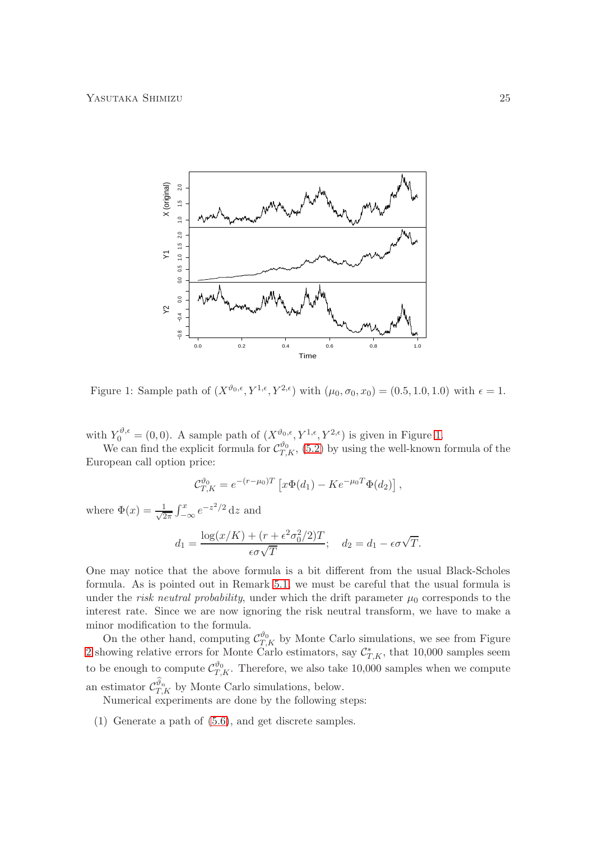

<span id="page-24-0"></span>Figure 1: Sample path of  $(X^{\vartheta_0,\epsilon}, Y^{1,\epsilon}, Y^{2,\epsilon})$  with  $(\mu_0, \sigma_0, x_0) = (0.5, 1.0, 1.0)$  with  $\epsilon = 1$ .

with  $Y_0^{\vartheta,\epsilon} = (0,0)$ . A sample path of  $(X^{\vartheta_0,\epsilon}, Y^{1,\epsilon}, Y^{2,\epsilon})$  is given in Figure [1.](#page-24-0)

We can find the explicit formula for  $\mathcal{C}_{T,K}^{\vartheta_0}$ , [\(5.2\)](#page-22-3) by using the well-known formula of the European call option price:

$$
\mathcal{C}_{T,K}^{\vartheta_0} = e^{-(r-\mu_0)T} \left[ x \Phi(d_1) - K e^{-\mu_0 T} \Phi(d_2) \right],
$$

where  $\Phi(x) = \frac{1}{\sqrt{2}}$  $\frac{1}{2\pi} \int_{-\infty}^{x} e^{-z^2/2} dz$  and

$$
d_1 = \frac{\log(x/K) + (r + \epsilon^2 \sigma_0^2/2)T}{\epsilon \sigma \sqrt{T}}; \quad d_2 = d_1 - \epsilon \sigma \sqrt{T}.
$$

One may notice that the above formula is a bit different from the usual Black-Scholes formula. As is pointed out in Remark [5.1,](#page-23-2) we must be careful that the usual formula is under the *risk neutral probability*, under which the drift parameter  $\mu_0$  corresponds to the interest rate. Since we are now ignoring the risk neutral transform, we have to make a minor modification to the formula.

On the other hand, computing  $\mathcal{C}_{T,K}^{\vartheta_0}$  by Monte Carlo simulations, we see from Figure [2](#page-25-0) showing relative errors for Monte Carlo estimators, say  $\mathcal{C}_{T,K}^*$ , that 10,000 samples seem to be enough to compute  $C_{T,K}^{\vartheta_0}$ . Therefore, we also take 10,000 samples when we compute an estimator  $\mathcal{C}_{T,K}^{\vartheta_n}$  by Monte Carlo simulations, below.

Numerical experiments are done by the following steps:

(1) Generate a path of [\(5.6\)](#page-23-3), and get discrete samples.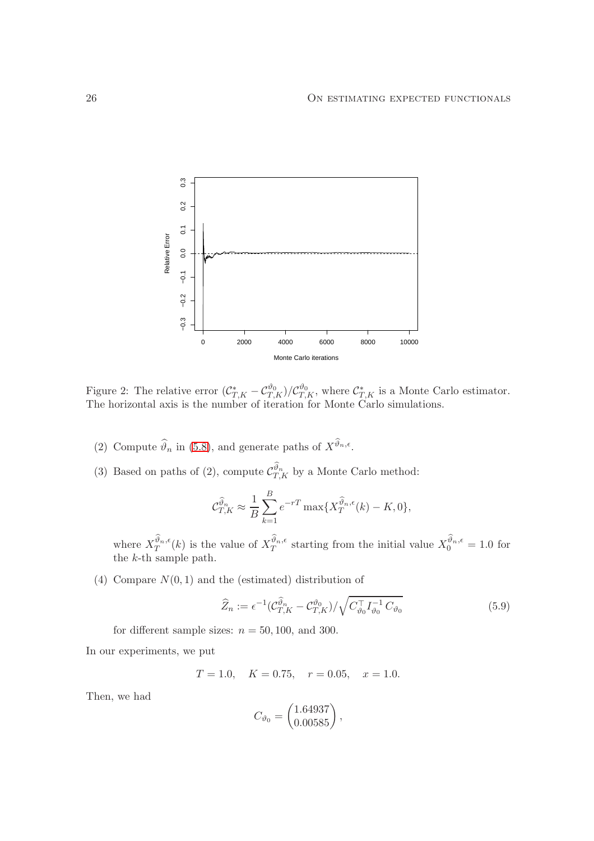

<span id="page-25-0"></span>Figure 2: The relative error  $(\mathcal{C}_{T,K}^* - \mathcal{C}_{T,K}^{\vartheta_0})/\mathcal{C}_{T,K}^{\vartheta_0}$ , where  $\mathcal{C}_{T,K}^*$  is a Monte Carlo estimator. The horizontal axis is the number of iteration for Monte Carlo simulations.

- (2) Compute  $\widehat{\vartheta}_n$  in [\(5.8\)](#page-23-4), and generate paths of  $X^{\vartheta_n,\epsilon}$ .
- (3) Based on paths of (2), compute  $\mathcal{C}_{T,K}^{\vartheta_n}$  by a Monte Carlo method:

$$
\mathcal{C}_{T,K}^{\widehat{\vartheta}_n} \approx \frac{1}{B} \sum_{k=1}^{B} e^{-rT} \max \{ X_T^{\widehat{\vartheta}_n, \epsilon}(k) - K, 0 \},
$$

where  $X_T^{\vartheta_n,\epsilon}$  $\mathcal{L}^{\vartheta_n,\epsilon}_T(k)$  is the value of  $X_T^{\vartheta_n,\epsilon}$  $y_n^{\vartheta_n,\epsilon}$  starting from the initial value  $X_0^{\vartheta_n,\epsilon} = 1.0$  for the k-th sample path.

(4) Compare  $N(0, 1)$  and the (estimated) distribution of

$$
\widehat{Z}_n := \epsilon^{-1} (\mathcal{C}_{T,K}^{\widehat{\vartheta}_n} - \mathcal{C}_{T,K}^{\vartheta_0}) / \sqrt{C_{\vartheta_0}^{\top} I_{\vartheta_0}^{-1} C_{\vartheta_0}}
$$
(5.9)

for different sample sizes:  $n = 50, 100,$  and 300.

In our experiments, we put

$$
T = 1.0
$$
,  $K = 0.75$ ,  $r = 0.05$ ,  $x = 1.0$ .

Then, we had

<span id="page-25-1"></span>
$$
C_{\vartheta_0}=\begin{pmatrix} 1.64937\\ 0.00585 \end{pmatrix},
$$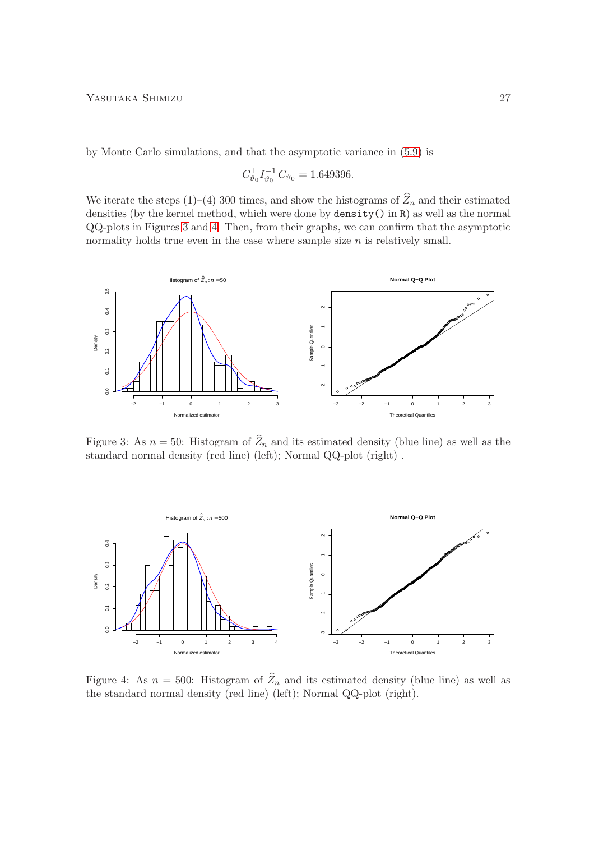by Monte Carlo simulations, and that the asymptotic variance in [\(5.9\)](#page-25-1) is

$$
C_{\vartheta_0}^{\top} I_{\vartheta_0}^{-1} C_{\vartheta_0} = 1.649396.
$$

We iterate the steps (1)–(4) 300 times, and show the histograms of  $\widehat{Z}_n$  and their estimated densities (by the kernel method, which were done by density() in R) as well as the normal QQ-plots in Figures [3](#page-26-0) and [4.](#page-26-1) Then, from their graphs, we can confirm that the asymptotic normality holds true even in the case where sample size  $n$  is relatively small.



<span id="page-26-0"></span>Figure 3: As  $n = 50$ : Histogram of  $\widehat{Z}_n$  and its estimated density (blue line) as well as the standard normal density (red line) (left); Normal QQ-plot (right) .



<span id="page-26-1"></span>Figure 4: As  $n = 500$ : Histogram of  $\hat{Z}_n$  and its estimated density (blue line) as well as the standard normal density (red line) (left); Normal QQ-plot (right).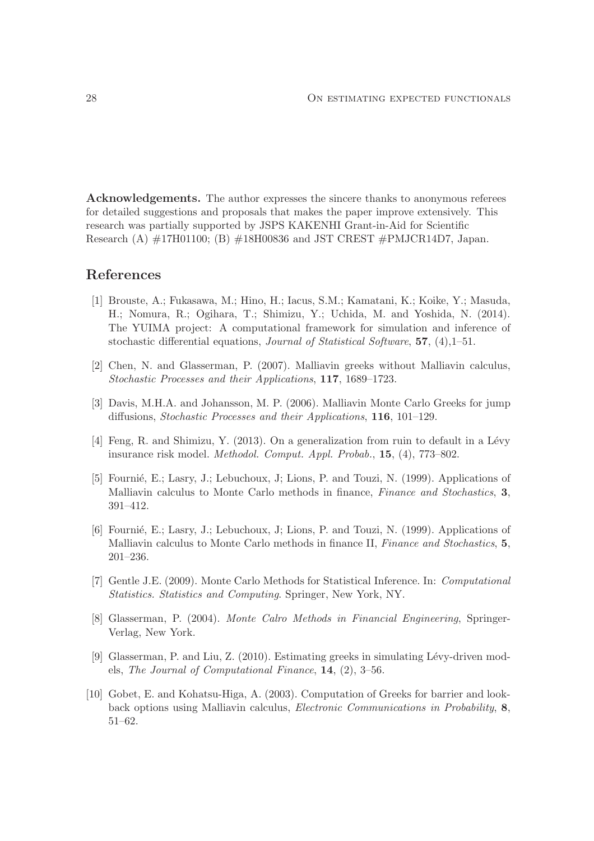Acknowledgements. The author expresses the sincere thanks to anonymous referees for detailed suggestions and proposals that makes the paper improve extensively. This research was partially supported by JSPS KAKENHI Grant-in-Aid for Scientific Research (A) #17H01100; (B) #18H00836 and JST CREST #PMJCR14D7, Japan.

# <span id="page-27-8"></span>References

- [1] Brouste, A.; Fukasawa, M.; Hino, H.; Iacus, S.M.; Kamatani, K.; Koike, Y.; Masuda, H.; Nomura, R.; Ogihara, T.; Shimizu, Y.; Uchida, M. and Yoshida, N. (2014). The YUIMA project: A computational framework for simulation and inference of stochastic differential equations, Journal of Statistical Software, 57, (4),1–51.
- <span id="page-27-4"></span><span id="page-27-0"></span>[2] Chen, N. and Glasserman, P. (2007). Malliavin greeks without Malliavin calculus, Stochastic Processes and their Applications, 117, 1689–1723.
- <span id="page-27-7"></span>[3] Davis, M.H.A. and Johansson, M. P. (2006). Malliavin Monte Carlo Greeks for jump diffusions, Stochastic Processes and their Applications, 116, 101–129.
- <span id="page-27-1"></span>[4] Feng, R. and Shimizu, Y.  $(2013)$ . On a generalization from ruin to default in a Lévy insurance risk model. Methodol. Comput. Appl. Probab., 15, (4), 773–802.
- [5] Fournié, E.; Lasry, J.; Lebuchoux, J.; Lions, P. and Touzi, N. (1999). Applications of Malliavin calculus to Monte Carlo methods in finance, *Finance and Stochastics*, 3, 391–412.
- <span id="page-27-2"></span>[6] Fournié, E.; Lasry, J.; Lebuchoux, J.; Lions, P. and Touzi, N. (1999). Applications of Malliavin calculus to Monte Carlo methods in finance II, *Finance and Stochastics*, 5, 201–236.
- [7] Gentle J.E. (2009). Monte Carlo Methods for Statistical Inference. In: Computational Statistics. Statistics and Computing. Springer, New York, NY.
- <span id="page-27-6"></span>[8] Glasserman, P. (2004). Monte Calro Methods in Financial Engineering, Springer-Verlag, New York.
- <span id="page-27-5"></span>[9] Glasserman, P. and Liu, Z. (2010). Estimating greeks in simulating L´evy-driven models, The Journal of Computational Finance, 14, (2), 3–56.
- <span id="page-27-3"></span>[10] Gobet, E. and Kohatsu-Higa, A. (2003). Computation of Greeks for barrier and lookback options using Malliavin calculus, Electronic Communications in Probability, 8, 51–62.